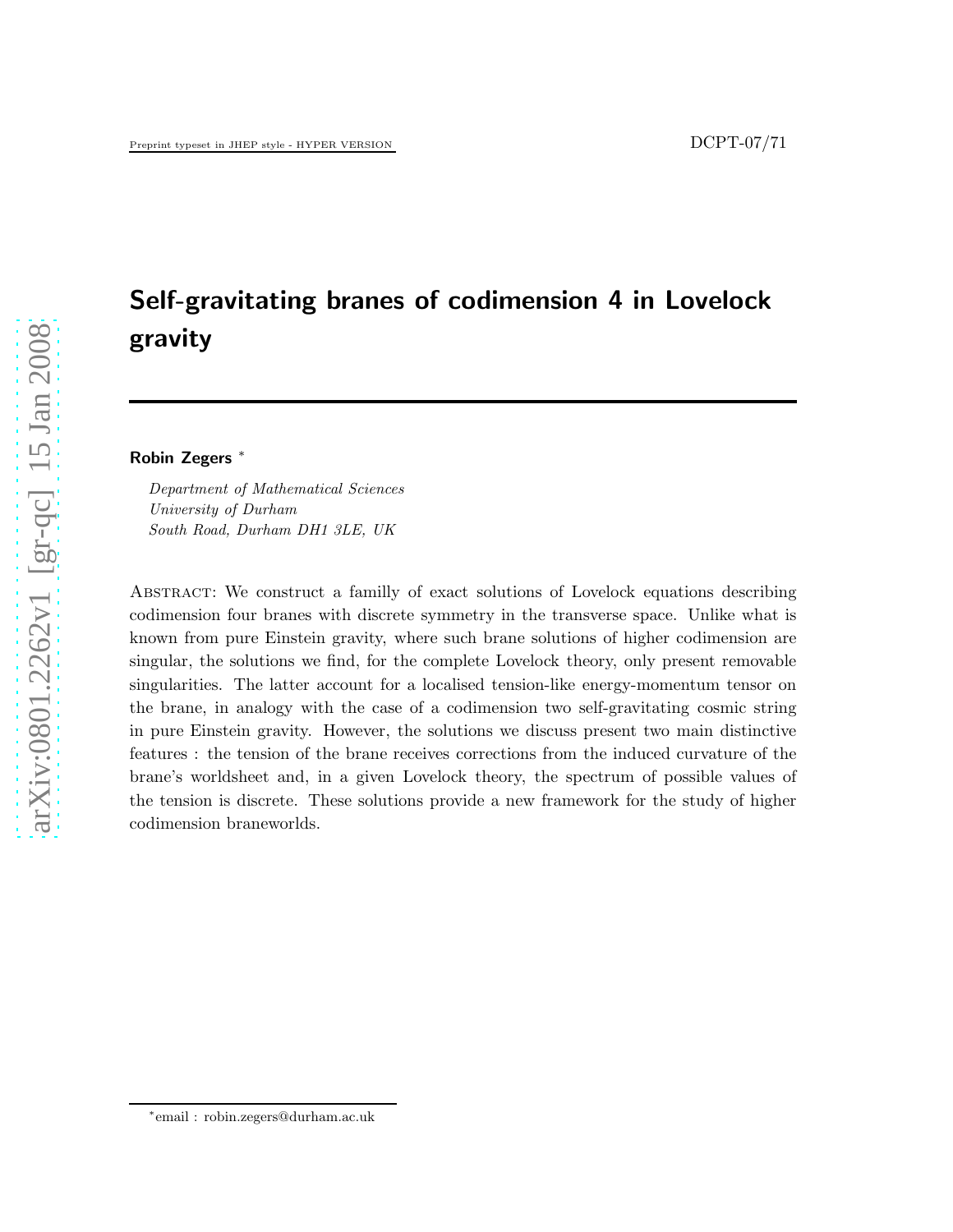# Self-gravitating branes of codimension 4 in Lovelock gravity

Robin Zegers <sup>∗</sup>

Department of Mathematical Sciences University of Durham South Road, Durham DH1 3LE, UK

Abstract: We construct a familly of exact solutions of Lovelock equations describing codimension four branes with discrete symmetry in the transverse space. Unlike what is known from pure Einstein gravity, where such brane solutions of higher codimension are singular, the solutions we find, for the complete Lovelock theory, only present removable singularities. The latter account for a localised tension-like energy-momentum tensor on the brane, in analogy with the case of a codimension two self-gravitating cosmic string in pure Einstein gravity. However, the solutions we discuss present two main distinctive features : the tension of the brane receives corrections from the induced curvature of the brane's worldsheet and, in a given Lovelock theory, the spectrum of possible values of the tension is discrete. These solutions provide a new framework for the study of higher codimension braneworlds.

<sup>∗</sup> email : robin.zegers@durham.ac.uk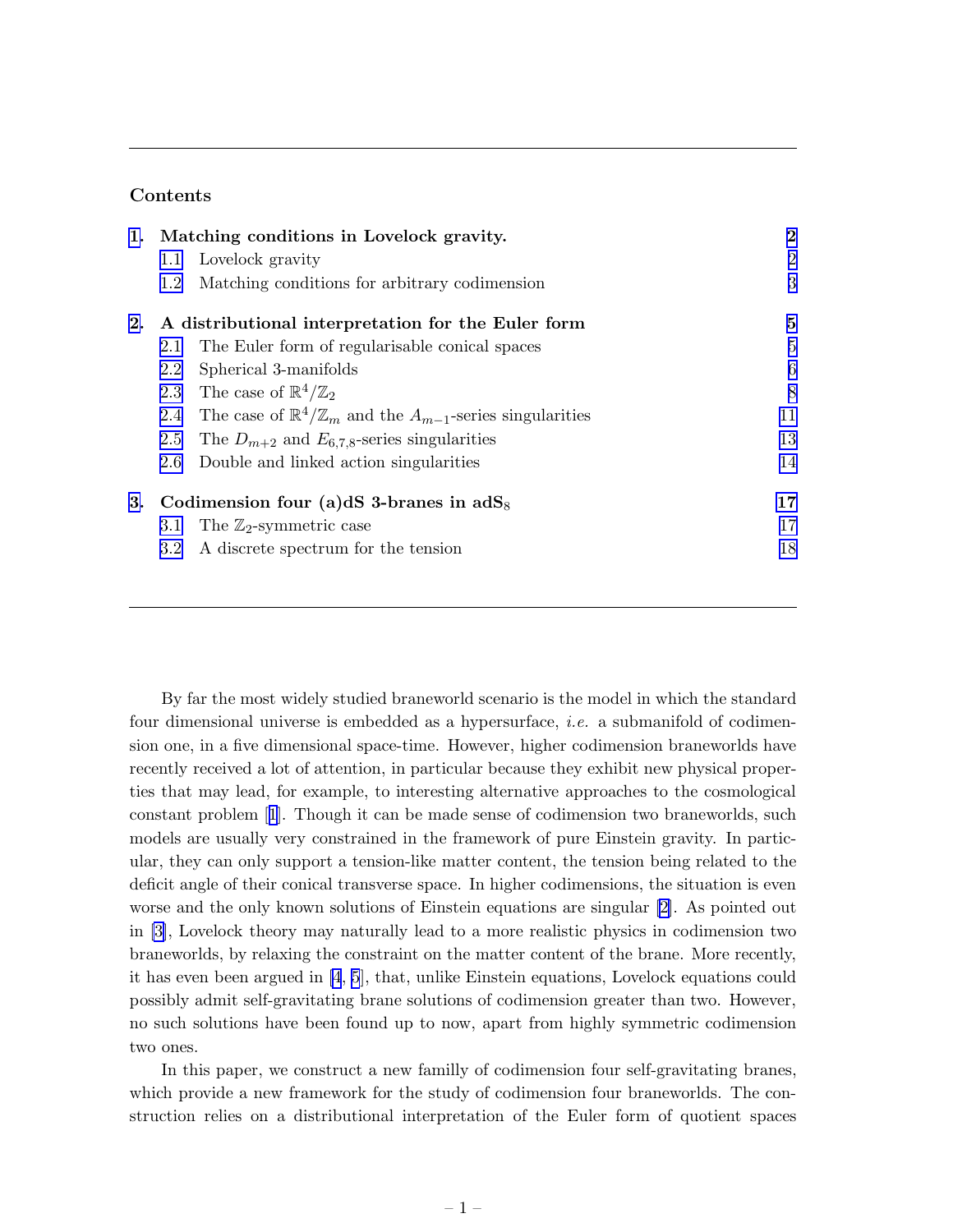# Contents

|    | 1. Matching conditions in Lovelock gravity.        |                                                                                     | $\bf{2}$        |
|----|----------------------------------------------------|-------------------------------------------------------------------------------------|-----------------|
|    | 1.1                                                | Lovelock gravity                                                                    | $\overline{2}$  |
|    | 1.2                                                | Matching conditions for arbitrary codimension                                       | 3               |
| 2. | A distributional interpretation for the Euler form |                                                                                     | 5               |
|    | 2.1                                                | The Euler form of regularisable conical spaces                                      | $\overline{5}$  |
|    | 2.2                                                | Spherical 3-manifolds                                                               | $6\phantom{.}6$ |
|    |                                                    | 2.3 The case of $\mathbb{R}^4/\mathbb{Z}_2$                                         | 8               |
|    |                                                    | 2.4 The case of $\mathbb{R}^4/\mathbb{Z}_m$ and the $A_{m-1}$ -series singularities | 11              |
|    | 2.5                                                | The $D_{m+2}$ and $E_{6,7,8}$ -series singularities                                 | 13              |
|    | 2.6                                                | Double and linked action singularities                                              | 14              |
| 3. | Codimension four (a)dS 3-branes in $\text{adS}_8$  |                                                                                     | 17              |
|    | 3.1                                                | The $\mathbb{Z}_2$ -symmetric case                                                  | 17              |
|    | 3.2                                                | A discrete spectrum for the tension                                                 | 18              |

By far the most widely studied braneworld scenario is the model in which the standard four dimensional universe is embedded as a hypersurface, i.e. a submanifold of codimension one, in a five dimensional space-time. However, higher codimension braneworlds have recently received a lot of attention, in particular because they exhibit new physical properties that may lead, for example, to interesting alternative approaches to the cosmological constant problem[[1](#page-20-0)]. Though it can be made sense of codimension two braneworlds, such models are usually very constrained in the framework of pure Einstein gravity. In particular, they can only support a tension-like matter content, the tension being related to the deficit angle of their conical transverse space. In higher codimensions, the situation is even worse and the only known solutions of Einstein equations are singular [\[2\]](#page-20-0). As pointed out in [\[3\]](#page-20-0), Lovelock theory may naturally lead to a more realistic physics in codimension two braneworlds, by relaxing the constraint on the matter content of the brane. More recently, it has even been argued in [\[4](#page-20-0), [5](#page-20-0)], that, unlike Einstein equations, Lovelock equations could possibly admit self-gravitating brane solutions of codimension greater than two. However, no such solutions have been found up to now, apart from highly symmetric codimension two ones.

In this paper, we construct a new familly of codimension four self-gravitating branes, which provide a new framework for the study of codimension four braneworlds. The construction relies on a distributional interpretation of the Euler form of quotient spaces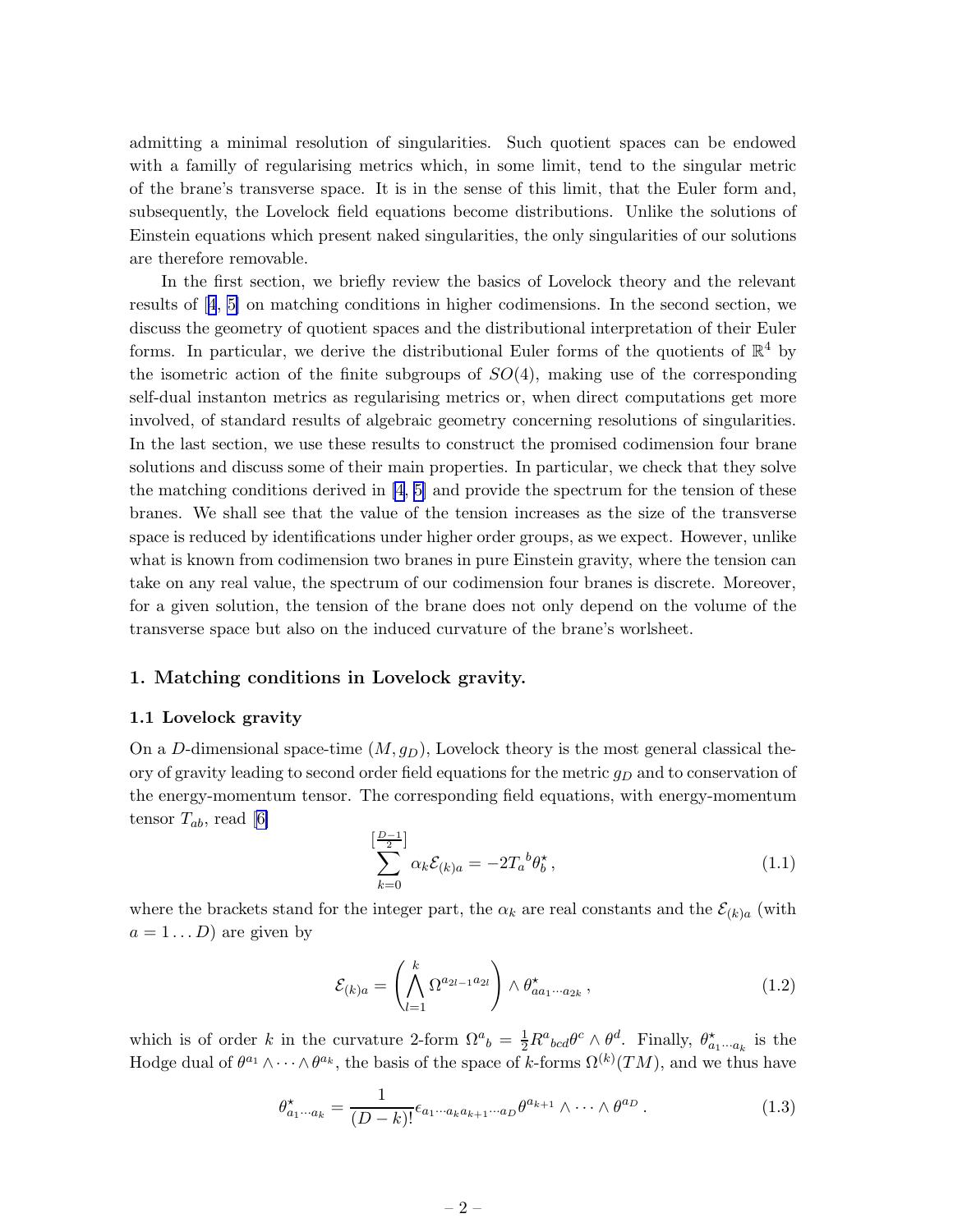<span id="page-2-0"></span>admitting a minimal resolution of singularities. Such quotient spaces can be endowed with a familly of regularising metrics which, in some limit, tend to the singular metric of the brane's transverse space. It is in the sense of this limit, that the Euler form and, subsequently, the Lovelock field equations become distributions. Unlike the solutions of Einstein equations which present naked singularities, the only singularities of our solutions are therefore removable.

In the first section, we briefly review the basics of Lovelock theory and the relevant results of[[4](#page-20-0), [5\]](#page-20-0) on matching conditions in higher codimensions. In the second section, we discuss the geometry of quotient spaces and the distributional interpretation of their Euler forms. In particular, we derive the distributional Euler forms of the quotients of  $\mathbb{R}^4$  by the isometric action of the finite subgroups of  $SO(4)$ , making use of the corresponding self-dual instanton metrics as regularising metrics or, when direct computations get more involved, of standard results of algebraic geometry concerning resolutions of singularities. In the last section, we use these results to construct the promised codimension four brane solutions and discuss some of their main properties. In particular, we check that they solve the matching conditions derived in [\[4, 5\]](#page-20-0) and provide the spectrum for the tension of these branes. We shall see that the value of the tension increases as the size of the transverse space is reduced by identifications under higher order groups, as we expect. However, unlike what is known from codimension two branes in pure Einstein gravity, where the tension can take on any real value, the spectrum of our codimension four branes is discrete. Moreover, for a given solution, the tension of the brane does not only depend on the volume of the transverse space but also on the induced curvature of the brane's worlsheet.

### 1. Matching conditions in Lovelock gravity.

### 1.1 Lovelock gravity

On a D-dimensional space-time  $(M, g_D)$ , Lovelock theory is the most general classical theory of gravity leading to second order field equations for the metric  $g_D$  and to conservation of the energy-momentum tensor. The corresponding field equations, with energy-momentum tensor  $T_{ab}$ , read [\[6\]](#page-20-0)

$$
\sum_{k=0}^{\left[\frac{D-1}{2}\right]} \alpha_k \mathcal{E}_{(k)a} = -2T_a{}^b \theta_b^*,
$$
\n(1.1)

where the brackets stand for the integer part, the  $\alpha_k$  are real constants and the  $\mathcal{E}_{(k)a}$  (with  $a = 1 \dots D$  are given by

$$
\mathcal{E}_{(k)a} = \left(\bigwedge_{l=1}^{k} \Omega^{a_{2l-1}a_{2l}}\right) \wedge \theta_{aa_1\cdots a_{2k}}^{\star},\tag{1.2}
$$

which is of order k in the curvature 2-form  $\Omega^a{}_b = \frac{1}{2} R^a{}_{bcd} \theta^c \wedge \theta^d$ . Finally,  $\theta^{\star}_{a_1 \cdots a_k}$  is the Hodge dual of  $\theta^{a_1}\wedge\cdots\wedge\theta^{a_k}$ , the basis of the space of k-forms  $\Omega^{(k)}(TM)$ , and we thus have

$$
\theta_{a_1 \cdots a_k}^{\star} = \frac{1}{(D-k)!} \epsilon_{a_1 \cdots a_k a_{k+1} \cdots a_D} \theta^{a_{k+1}} \wedge \cdots \wedge \theta^{a_D} . \tag{1.3}
$$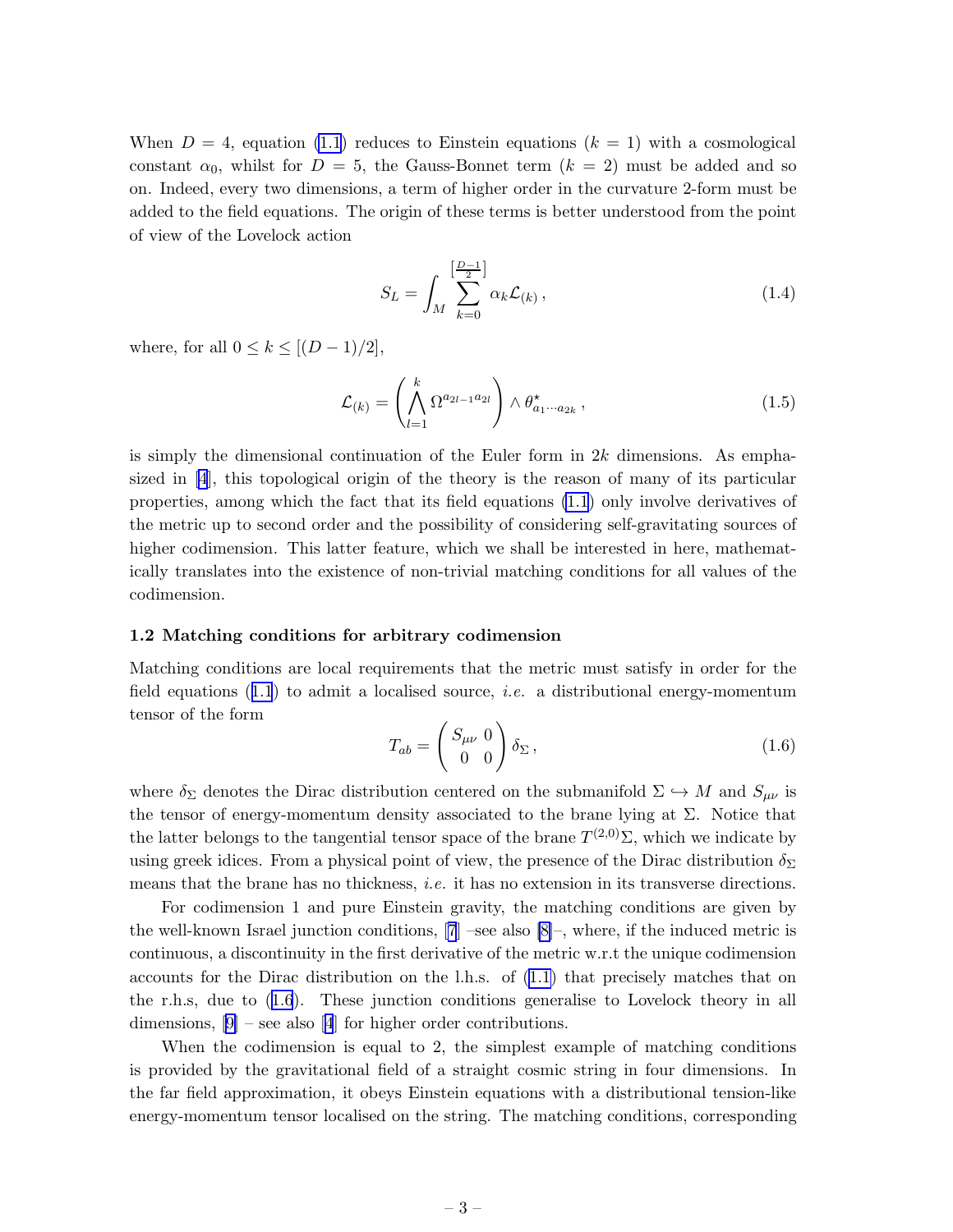<span id="page-3-0"></span>When  $D = 4$ , equation [\(1.1](#page-2-0)) reduces to Einstein equations  $(k = 1)$  with a cosmological constant  $\alpha_0$ , whilst for  $D = 5$ , the Gauss-Bonnet term  $(k = 2)$  must be added and so on. Indeed, every two dimensions, a term of higher order in the curvature 2-form must be added to the field equations. The origin of these terms is better understood from the point of view of the Lovelock action

$$
S_L = \int_M \sum_{k=0}^{\left[\frac{D-1}{2}\right]} \alpha_k \mathcal{L}_{(k)}\,,\tag{1.4}
$$

where, for all  $0 \leq k \leq [(D-1)/2]$ ,

$$
\mathcal{L}_{(k)} = \left(\bigwedge_{l=1}^{k} \Omega^{a_{2l-1}a_{2l}}\right) \wedge \theta^{\star}_{a_1 \cdots a_{2k}}, \qquad (1.5)
$$

is simply the dimensional continuation of the Euler form in  $2k$  dimensions. As emphasized in[[4](#page-20-0)], this topological origin of the theory is the reason of many of its particular properties, among which the fact that its field equations [\(1.1](#page-2-0)) only involve derivatives of the metric up to second order and the possibility of considering self-gravitating sources of higher codimension. This latter feature, which we shall be interested in here, mathematically translates into the existence of non-trivial matching conditions for all values of the codimension.

### 1.2 Matching conditions for arbitrary codimension

Matching conditions are local requirements that the metric must satisfy in order for the fieldequations  $(1.1)$  $(1.1)$  $(1.1)$  to admit a localised source, *i.e.* a distributional energy-momentum tensor of the form

$$
T_{ab} = \begin{pmatrix} S_{\mu\nu} & 0\\ 0 & 0 \end{pmatrix} \delta_{\Sigma}, \qquad (1.6)
$$

where  $\delta_{\Sigma}$  denotes the Dirac distribution centered on the submanifold  $\Sigma \hookrightarrow M$  and  $S_{\mu\nu}$  is the tensor of energy-momentum density associated to the brane lying at  $\Sigma$ . Notice that the latter belongs to the tangential tensor space of the brane  $T^{(2,0)}\Sigma$ , which we indicate by using greek idices. From a physical point of view, the presence of the Dirac distribution  $\delta_{\Sigma}$ means that the brane has no thickness, *i.e.* it has no extension in its transverse directions.

For codimension 1 and pure Einstein gravity, the matching conditions are given by the well-known Israel junction conditions, [\[7](#page-20-0)] –see also [\[8\]](#page-20-0)–, where, if the induced metric is continuous, a discontinuity in the first derivative of the metric w.r.t the unique codimension accounts for the Dirac distribution on the l.h.s. of [\(1.1\)](#page-2-0) that precisely matches that on the r.h.s, due to (1.6). These junction conditions generalise to Lovelock theory in all dimensions,  $[9]$  – see also [\[4](#page-20-0)] for higher order contributions.

When the codimension is equal to 2, the simplest example of matching conditions is provided by the gravitational field of a straight cosmic string in four dimensions. In the far field approximation, it obeys Einstein equations with a distributional tension-like energy-momentum tensor localised on the string. The matching conditions, corresponding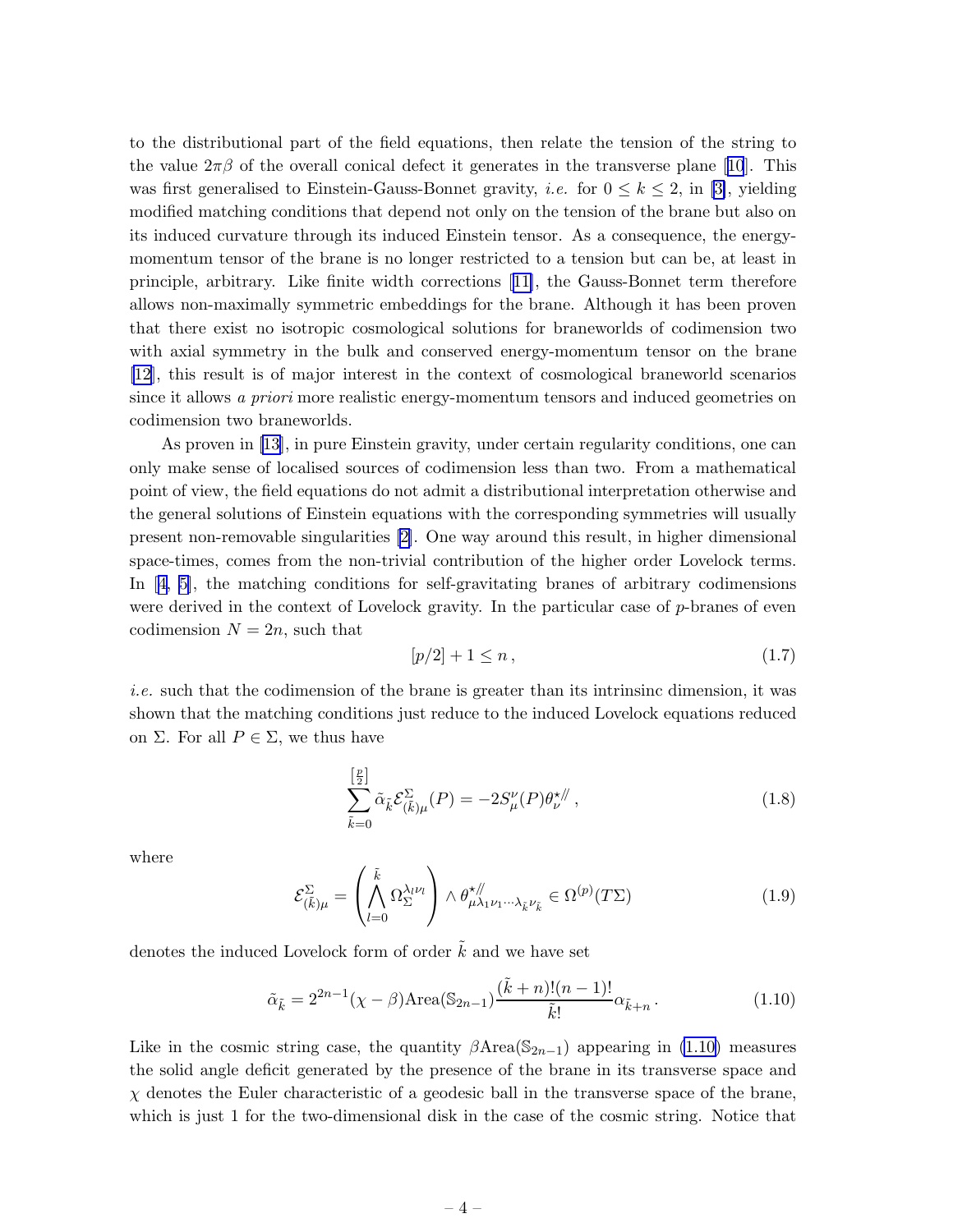<span id="page-4-0"></span>to the distributional part of the field equations, then relate the tension of the string to thevalue  $2\pi\beta$  of the overall conical defect it generates in the transverse plane [[10](#page-20-0)]. This was first generalised to Einstein-Gauss-Bonnet gravity, *i.e.* for  $0 \leq k \leq 2$ , in [\[3\]](#page-20-0), yielding modified matching conditions that depend not only on the tension of the brane but also on its induced curvature through its induced Einstein tensor. As a consequence, the energymomentum tensor of the brane is no longer restricted to a tension but can be, at least in principle, arbitrary. Like finite width corrections[[11\]](#page-20-0), the Gauss-Bonnet term therefore allows non-maximally symmetric embeddings for the brane. Although it has been proven that there exist no isotropic cosmological solutions for braneworlds of codimension two with axial symmetry in the bulk and conserved energy-momentum tensor on the brane [\[12](#page-20-0)], this result is of major interest in the context of cosmological braneworld scenarios since it allows a *priori* more realistic energy-momentum tensors and induced geometries on codimension two braneworlds.

As proven in [\[13](#page-20-0)], in pure Einstein gravity, under certain regularity conditions, one can only make sense of localised sources of codimension less than two. From a mathematical point of view, the field equations do not admit a distributional interpretation otherwise and the general solutions of Einstein equations with the corresponding symmetries will usually present non-removable singularities [\[2\]](#page-20-0). One way around this result, in higher dimensional space-times, comes from the non-trivial contribution of the higher order Lovelock terms. In[[4](#page-20-0), [5\]](#page-20-0), the matching conditions for self-gravitating branes of arbitrary codimensions were derived in the context of Lovelock gravity. In the particular case of p-branes of even codimension  $N = 2n$ , such that

$$
[p/2] + 1 \le n \,, \tag{1.7}
$$

i.e. such that the codimension of the brane is greater than its intrinsinc dimension, it was shown that the matching conditions just reduce to the induced Lovelock equations reduced on Σ. For all  $P \in \Sigma$ , we thus have

$$
\sum_{\tilde{k}=0}^{\left[\frac{p}{2}\right]} \tilde{\alpha}_{\tilde{k}} \mathcal{E}_{(\tilde{k})\mu}^{\Sigma}(P) = -2S_{\mu}^{\nu}(P)\theta_{\nu}^{\star/\!/},\tag{1.8}
$$

where

$$
\mathcal{E}_{(\tilde{k})\mu}^{\Sigma} = \left(\bigwedge_{l=0}^{\tilde{k}} \Omega_{\Sigma}^{\lambda_l \nu_l}\right) \wedge \theta_{\mu \lambda_1 \nu_1 \cdots \lambda_{\tilde{k}} \nu_{\tilde{k}}}^{\star \#} \in \Omega^{(p)}(T\Sigma)
$$
(1.9)

denotes the induced Lovelock form of order  $\tilde{k}$  and we have set

$$
\tilde{\alpha}_{\tilde{k}} = 2^{2n-1}(\chi - \beta) \text{Area}(\mathbb{S}_{2n-1}) \frac{(\tilde{k} + n)!(n-1)!}{\tilde{k}!} \alpha_{\tilde{k}+n}.
$$
\n(1.10)

Like in the cosmic string case, the quantity  $\beta$ Area(S<sub>2n−1</sub>) appearing in (1.10) measures the solid angle deficit generated by the presence of the brane in its transverse space and  $\chi$  denotes the Euler characteristic of a geodesic ball in the transverse space of the brane, which is just 1 for the two-dimensional disk in the case of the cosmic string. Notice that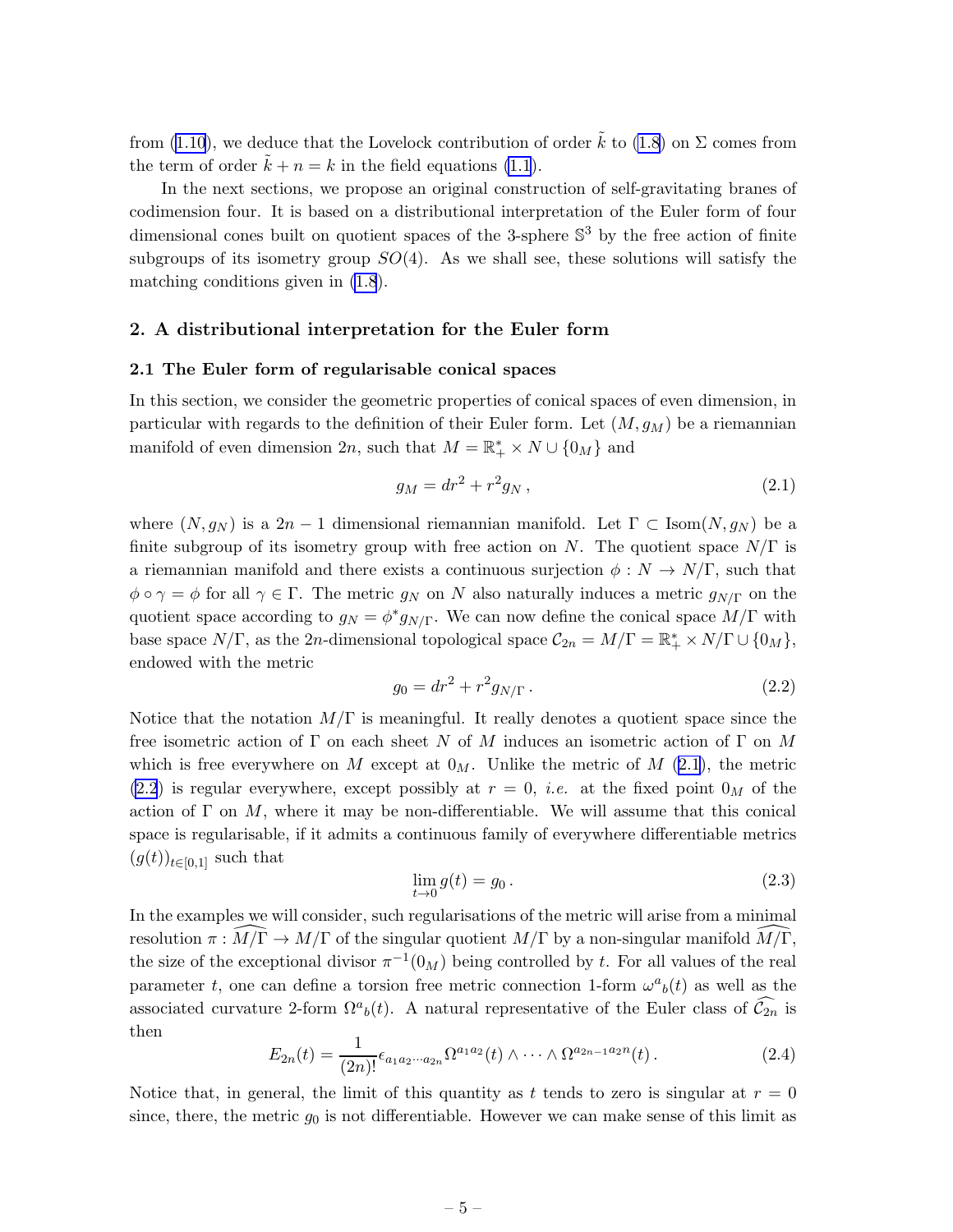<span id="page-5-0"></span>from [\(1.10](#page-4-0)), we deduce that the Lovelock contribution of order  $\tilde{k}$  to [\(1.8](#page-4-0)) on  $\Sigma$  comes from the term of order  $k + n = k$  in the field equations [\(1.1](#page-2-0)).

In the next sections, we propose an original construction of self-gravitating branes of codimension four. It is based on a distributional interpretation of the Euler form of four dimensional cones built on quotient spaces of the 3-sphere  $\mathbb{S}^3$  by the free action of finite subgroups of its isometry group  $SO(4)$ . As we shall see, these solutions will satisfy the matching conditions given in [\(1.8](#page-4-0)).

# 2. A distributional interpretation for the Euler form

### 2.1 The Euler form of regularisable conical spaces

In this section, we consider the geometric properties of conical spaces of even dimension, in particular with regards to the definition of their Euler form. Let  $(M, g_M)$  be a riemannian manifold of even dimension  $2n$ , such that  $M = \mathbb{R}_+^* \times N \cup \{0_M\}$  and

$$
g_M = dr^2 + r^2 g_N , \t\t(2.1)
$$

where  $(N, g_N)$  is a 2n - 1 dimensional riemannian manifold. Let  $\Gamma \subset \text{Isom}(N, g_N)$  be a finite subgroup of its isometry group with free action on N. The quotient space  $N/\Gamma$  is a riemannian manifold and there exists a continuous surjection  $\phi: N \to N/\Gamma$ , such that  $\phi \circ \gamma = \phi$  for all  $\gamma \in \Gamma$ . The metric  $g_N$  on N also naturally induces a metric  $g_{N/\Gamma}$  on the quotient space according to  $g_N = \phi^* g_{N/\Gamma}$ . We can now define the conical space  $\dot{M}/\Gamma$  with base space  $N/\Gamma$ , as the 2n-dimensional topological space  $C_{2n} = M/\Gamma = \mathbb{R}_+^* \times N/\Gamma \cup \{0_M\},$ endowed with the metric

$$
g_0 = dr^2 + r^2 g_{N/\Gamma} \,. \tag{2.2}
$$

Notice that the notation  $M/\Gamma$  is meaningful. It really denotes a quotient space since the free isometric action of  $\Gamma$  on each sheet N of M induces an isometric action of  $\Gamma$  on M which is free everywhere on M except at  $0_M$ . Unlike the metric of M (2.1), the metric (2.2) is regular everywhere, except possibly at  $r = 0$ , *i.e.* at the fixed point  $0_M$  of the action of  $\Gamma$  on M, where it may be non-differentiable. We will assume that this conical space is regularisable, if it admits a continuous family of everywhere differentiable metrics  $(g(t))_{t\in[0,1]}$  such that

$$
\lim_{t \to 0} g(t) = g_0. \tag{2.3}
$$

In the examples we will consider, such regularisations of the metric will arise from a minimal resolution  $\pi : \widehat{M/\Gamma} \to M/\Gamma$  of the singular quotient  $M/\Gamma$  by a non-singular manifold  $\widehat{M/\Gamma}$ , the size of the exceptional divisor  $\pi^{-1}(0_M)$  being controlled by t. For all values of the real parameter t, one can define a torsion free metric connection 1-form  $\omega^a{}_b(t)$  as well as the associated curvature 2-form  $\Omega^a{}_b(t)$ . A natural representative of the Euler class of  $\widehat{\mathcal{C}}_{2n}$  is then

$$
E_{2n}(t) = \frac{1}{(2n)!} \epsilon_{a_1 a_2 \cdots a_{2n}} \Omega^{a_1 a_2}(t) \wedge \cdots \wedge \Omega^{a_{2n-1} a_{2n}}(t).
$$
 (2.4)

Notice that, in general, the limit of this quantity as t tends to zero is singular at  $r = 0$ since, there, the metric  $g_0$  is not differentiable. However we can make sense of this limit as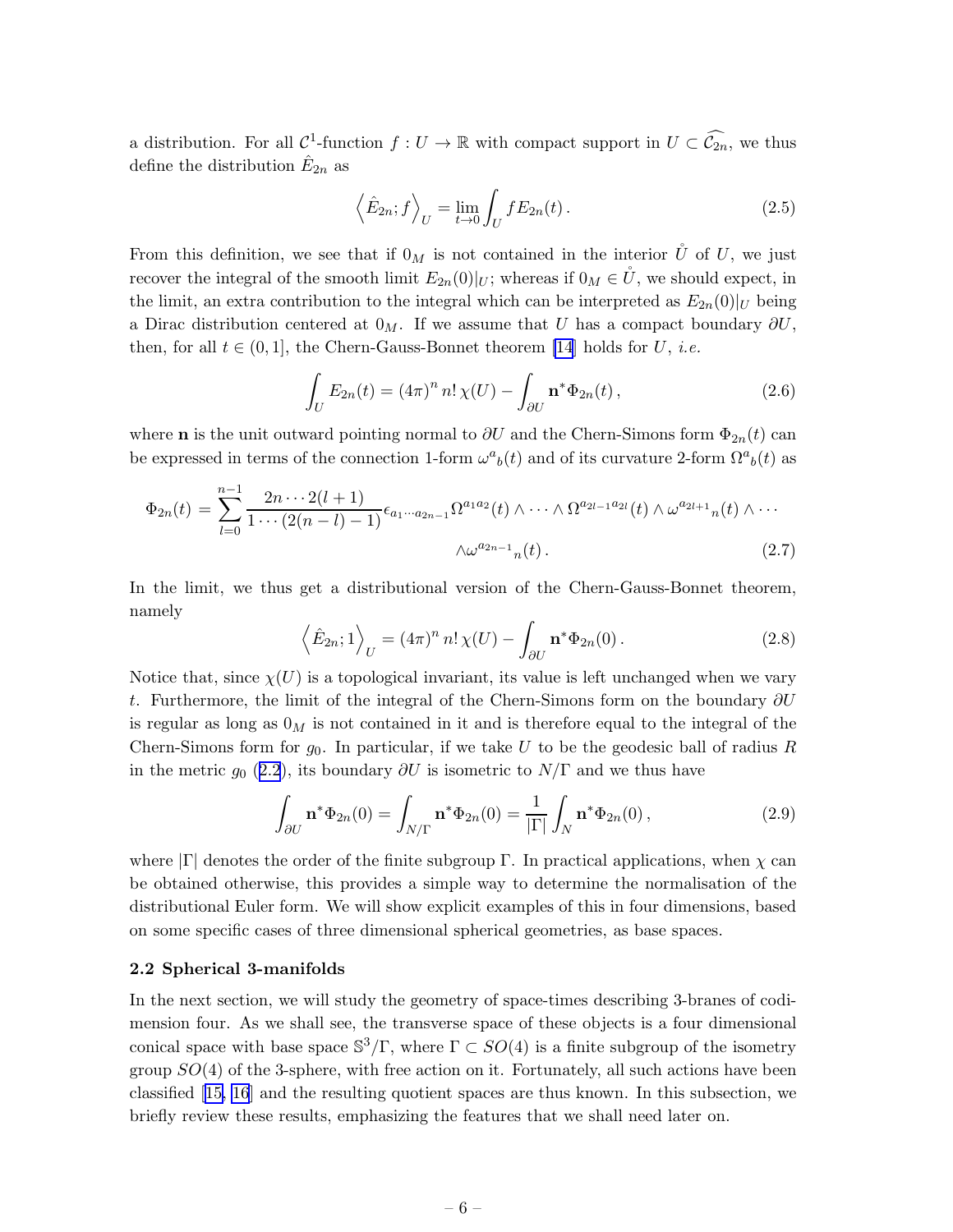<span id="page-6-0"></span>a distribution. For all  $\mathcal{C}^1$ -function  $f: U \to \mathbb{R}$  with compact support in  $U \subset \widehat{\mathcal{C}_{2n}}$ , we thus define the distribution  $\hat{E}_{2n}$  as

$$
\left\langle \hat{E}_{2n};f\right\rangle_{U}=\lim_{t\to 0}\int_{U}fE_{2n}(t). \tag{2.5}
$$

From this definition, we see that if  $0_M$  is not contained in the interior  $\mathring{U}$  of U, we just recover the integral of the smooth limit  $E_{2n}(0)|_U$ ; whereas if  $0_M \in U$ , we should expect, in the limit, an extra contribution to the integral which can be interpreted as  $E_{2n}(0)|_U$  being a Dirac distribution centered at  $0_M$ . If we assume that U has a compact boundary  $\partial U$ , then, for all  $t \in (0,1]$ , the Chern-Gauss-Bonnet theorem [\[14](#page-21-0)] holds for U, *i.e.* 

$$
\int_{U} E_{2n}(t) = (4\pi)^n n! \chi(U) - \int_{\partial U} \mathbf{n}^* \Phi_{2n}(t), \qquad (2.6)
$$

where **n** is the unit outward pointing normal to  $\partial U$  and the Chern-Simons form  $\Phi_{2n}(t)$  can be expressed in terms of the connection 1-form  $\omega^a{}_b(t)$  and of its curvature 2-form  $\Omega^a{}_b(t)$  as

$$
\Phi_{2n}(t) = \sum_{l=0}^{n-1} \frac{2n \cdots 2(l+1)}{1 \cdots (2(n-l)-1)} \epsilon_{a_1 \cdots a_{2n-1}} \Omega^{a_1 a_2}(t) \wedge \cdots \wedge \Omega^{a_{2l-1} a_{2l}}(t) \wedge \omega^{a_{2l+1}} n(t) \wedge \cdots
$$

$$
\wedge \omega^{a_{2n-1}} n(t).
$$
\n(2.7)

In the limit, we thus get a distributional version of the Chern-Gauss-Bonnet theorem, namely

$$
\left\langle \hat{E}_{2n};1 \right\rangle_U = (4\pi)^n n! \chi(U) - \int_{\partial U} \mathbf{n}^* \Phi_{2n}(0). \tag{2.8}
$$

Notice that, since  $\chi(U)$  is a topological invariant, its value is left unchanged when we vary t. Furthermore, the limit of the integral of the Chern-Simons form on the boundary  $\partial U$ is regular as long as  $0_M$  is not contained in it and is therefore equal to the integral of the Chern-Simons form for  $g_0$ . In particular, if we take U to be the geodesic ball of radius R in the metric  $g_0$  ([2.2](#page-5-0)), its boundary  $\partial U$  is isometric to  $N/\Gamma$  and we thus have

$$
\int_{\partial U} \mathbf{n}^* \Phi_{2n}(0) = \int_{N/\Gamma} \mathbf{n}^* \Phi_{2n}(0) = \frac{1}{|\Gamma|} \int_N \mathbf{n}^* \Phi_{2n}(0),
$$
\n(2.9)

where  $|\Gamma|$  denotes the order of the finite subgroup  $\Gamma$ . In practical applications, when  $\chi$  can be obtained otherwise, this provides a simple way to determine the normalisation of the distributional Euler form. We will show explicit examples of this in four dimensions, based on some specific cases of three dimensional spherical geometries, as base spaces.

#### 2.2 Spherical 3-manifolds

In the next section, we will study the geometry of space-times describing 3-branes of codimension four. As we shall see, the transverse space of these objects is a four dimensional conical space with base space  $\mathbb{S}^3/\Gamma$ , where  $\Gamma \subset SO(4)$  is a finite subgroup of the isometry group  $SO(4)$  of the 3-sphere, with free action on it. Fortunately, all such actions have been classified[[15, 16](#page-21-0)] and the resulting quotient spaces are thus known. In this subsection, we briefly review these results, emphasizing the features that we shall need later on.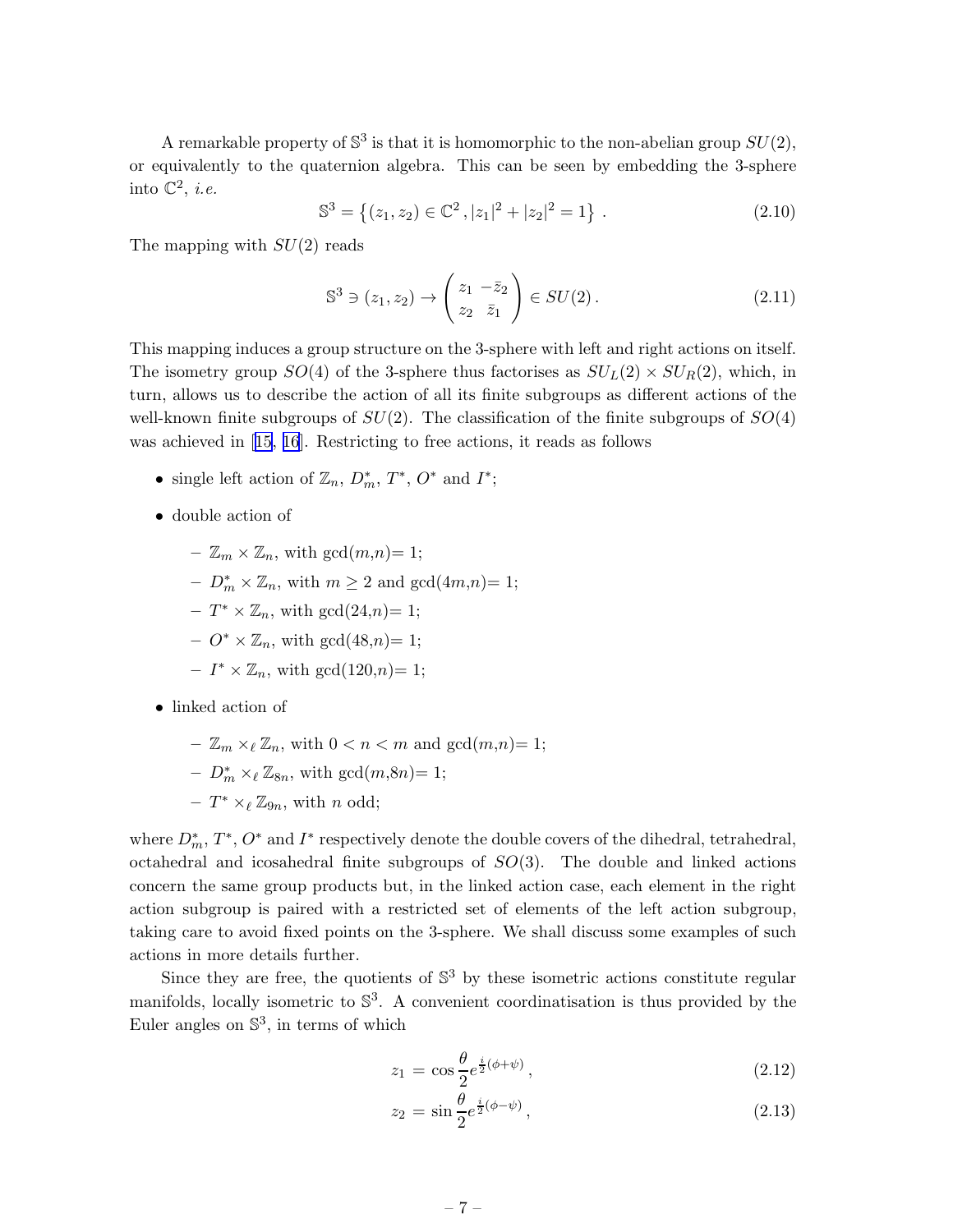A remarkable property of  $\mathbb{S}^3$  is that it is homomorphic to the non-abelian group  $SU(2)$ , or equivalently to the quaternion algebra. This can be seen by embedding the 3-sphere into  $\mathbb{C}^2$ , *i.e.* 

$$
\mathbb{S}^3 = \left\{ (z_1, z_2) \in \mathbb{C}^2, |z_1|^2 + |z_2|^2 = 1 \right\}. \tag{2.10}
$$

The mapping with  $SU(2)$  reads

$$
\mathbb{S}^3 \ni (z_1, z_2) \to \begin{pmatrix} z_1 & -\bar{z}_2 \\ z_2 & \bar{z}_1 \end{pmatrix} \in SU(2). \tag{2.11}
$$

This mapping induces a group structure on the 3-sphere with left and right actions on itself. The isometry group  $SO(4)$  of the 3-sphere thus factorises as  $SU_L(2) \times SU_R(2)$ , which, in turn, allows us to describe the action of all its finite subgroups as different actions of the well-known finite subgroups of  $SU(2)$ . The classification of the finite subgroups of  $SO(4)$ was achieved in[[15, 16](#page-21-0)]. Restricting to free actions, it reads as follows

- single left action of  $\mathbb{Z}_n$ ,  $D_m^*$ ,  $T^*$ ,  $O^*$  and  $I^*$ ;
- double action of
	- $-\mathbb{Z}_m \times \mathbb{Z}_n$ , with  $gcd(m,n)=1;$
	- $-D_m^* \times \mathbb{Z}_n$ , with  $m \geq 2$  and  $gcd(4m,n)=1$ ;
	- $-T^* \times \mathbb{Z}_n$ , with  $gcd(24,n)=1$ ;
	- $O^* \times \mathbb{Z}_n$ , with  $gcd(48,n)=1$ ;
	- $-I^* \times \mathbb{Z}_n$ , with  $gcd(120,n)=1$ ;
- linked action of
	- $-\mathbb{Z}_m \times_{\ell} \mathbb{Z}_n$ , with  $0 < n < m$  and  $gcd(m,n)=1$ ;
	- $-D_m^* \times_{\ell} \mathbb{Z}_{8n}$ , with  $gcd(m,8n)=1$ ;
	- $T^* \times_{\ell} \mathbb{Z}_{9n}$ , with *n* odd;

where  $D_m^*, T^*, O^*$  and  $I^*$  respectively denote the double covers of the dihedral, tetrahedral, octahedral and icosahedral finite subgroups of  $SO(3)$ . The double and linked actions concern the same group products but, in the linked action case, each element in the right action subgroup is paired with a restricted set of elements of the left action subgroup, taking care to avoid fixed points on the 3-sphere. We shall discuss some examples of such actions in more details further.

Since they are free, the quotients of  $\mathbb{S}^3$  by these isometric actions constitute regular manifolds, locally isometric to  $\mathbb{S}^3$ . A convenient coordinatisation is thus provided by the Euler angles on  $\mathbb{S}^3$ , in terms of which

$$
z_1 = \cos\frac{\theta}{2}e^{\frac{i}{2}(\phi+\psi)},\tag{2.12}
$$

$$
z_2 = \sin\frac{\theta}{2}e^{\frac{i}{2}(\phi-\psi)},\tag{2.13}
$$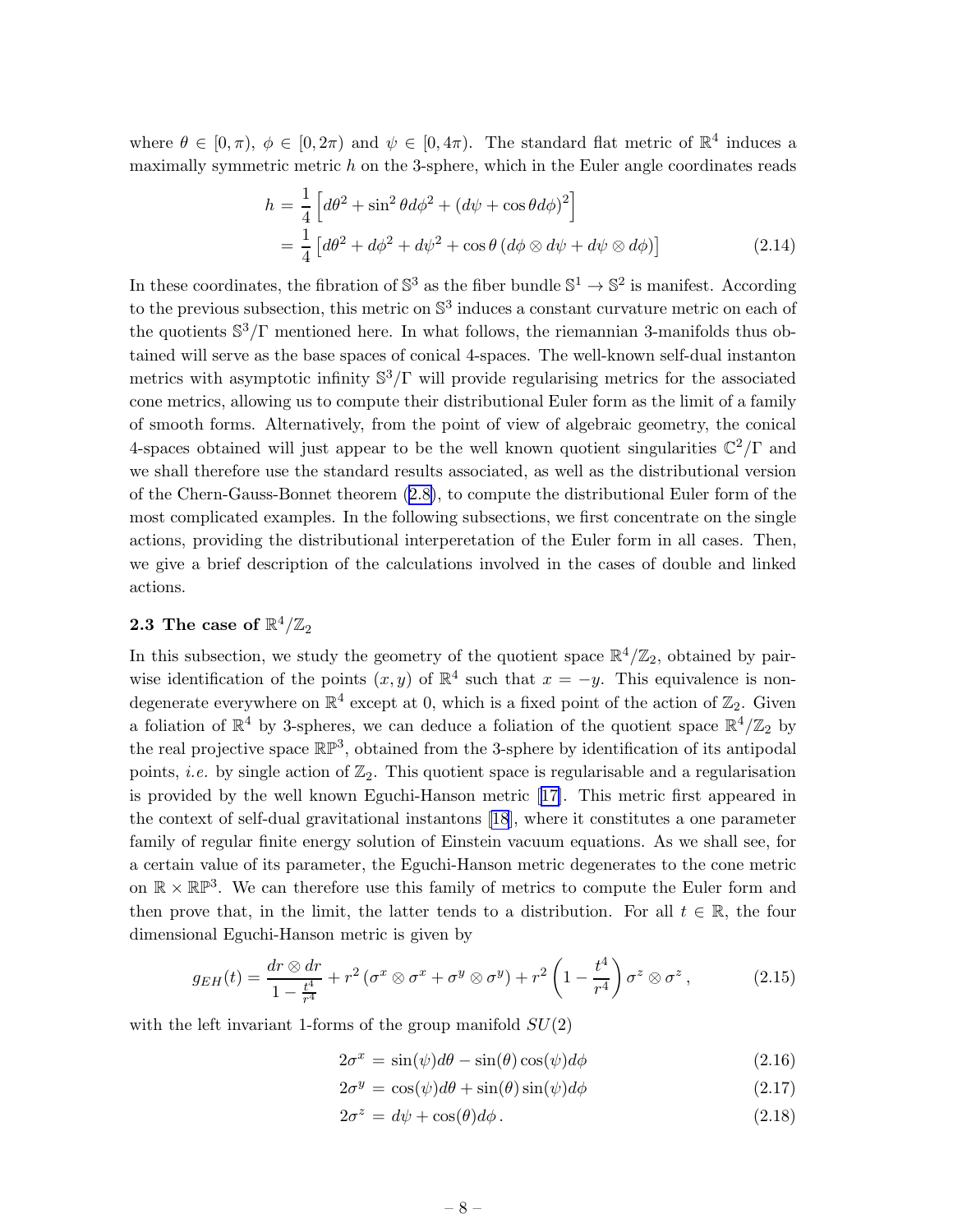<span id="page-8-0"></span>where  $\theta \in [0, \pi)$ ,  $\phi \in [0, 2\pi)$  and  $\psi \in [0, 4\pi)$ . The standard flat metric of  $\mathbb{R}^4$  induces a maximally symmetric metric  $h$  on the 3-sphere, which in the Euler angle coordinates reads

$$
h = \frac{1}{4} \left[ d\theta^2 + \sin^2 \theta d\phi^2 + (d\psi + \cos \theta d\phi)^2 \right]
$$
  
= 
$$
\frac{1}{4} \left[ d\theta^2 + d\phi^2 + d\psi^2 + \cos \theta (d\phi \otimes d\psi + d\psi \otimes d\phi) \right]
$$
(2.14)

In these coordinates, the fibration of  $\mathbb{S}^3$  as the fiber bundle  $\mathbb{S}^1 \to \mathbb{S}^2$  is manifest. According to the previous subsection, this metric on  $\mathbb{S}^3$  induces a constant curvature metric on each of the quotients  $\mathbb{S}^3/\Gamma$  mentioned here. In what follows, the riemannian 3-manifolds thus obtained will serve as the base spaces of conical 4-spaces. The well-known self-dual instanton metrics with asymptotic infinity  $\mathbb{S}^3/\Gamma$  will provide regularising metrics for the associated cone metrics, allowing us to compute their distributional Euler form as the limit of a family of smooth forms. Alternatively, from the point of view of algebraic geometry, the conical 4-spaces obtained will just appear to be the well known quotient singularities  $\mathbb{C}^2/\Gamma$  and we shall therefore use the standard results associated, as well as the distributional version of the Chern-Gauss-Bonnet theorem([2.8\)](#page-6-0), to compute the distributional Euler form of the most complicated examples. In the following subsections, we first concentrate on the single actions, providing the distributional interperetation of the Euler form in all cases. Then, we give a brief description of the calculations involved in the cases of double and linked actions.

# 2.3 The case of  $\mathbb{R}^4/\mathbb{Z}_2$

In this subsection, we study the geometry of the quotient space  $\mathbb{R}^4/\mathbb{Z}_2$ , obtained by pairwise identification of the points  $(x, y)$  of  $\mathbb{R}^4$  such that  $x = -y$ . This equivalence is nondegenerate everywhere on  $\mathbb{R}^4$  except at 0, which is a fixed point of the action of  $\mathbb{Z}_2$ . Given a foliation of  $\mathbb{R}^4$  by 3-spheres, we can deduce a foliation of the quotient space  $\mathbb{R}^4/\mathbb{Z}_2$  by the real projective space  $\mathbb{RP}^3$ , obtained from the 3-sphere by identification of its antipodal points, *i.e.* by single action of  $\mathbb{Z}_2$ . This quotient space is regularisable and a regularisation is provided by the well known Eguchi-Hanson metric[[17\]](#page-21-0). This metric first appeared in the context of self-dual gravitational instantons [\[18](#page-21-0)], where it constitutes a one parameter family of regular finite energy solution of Einstein vacuum equations. As we shall see, for a certain value of its parameter, the Eguchi-Hanson metric degenerates to the cone metric on  $\mathbb{R} \times \mathbb{R} \mathbb{P}^3$ . We can therefore use this family of metrics to compute the Euler form and then prove that, in the limit, the latter tends to a distribution. For all  $t \in \mathbb{R}$ , the four dimensional Eguchi-Hanson metric is given by

$$
g_{EH}(t) = \frac{dr \otimes dr}{1 - \frac{t^4}{r^4}} + r^2 \left(\sigma^x \otimes \sigma^x + \sigma^y \otimes \sigma^y\right) + r^2 \left(1 - \frac{t^4}{r^4}\right) \sigma^z \otimes \sigma^z,
$$
 (2.15)

with the left invariant 1-forms of the group manifold  $SU(2)$ 

$$
2\sigma^x = \sin(\psi)d\theta - \sin(\theta)\cos(\psi)d\phi \qquad (2.16)
$$

$$
2\sigma^y = \cos(\psi)d\theta + \sin(\theta)\sin(\psi)d\phi \qquad (2.17)
$$

$$
2\sigma^z = d\psi + \cos(\theta)d\phi. \tag{2.18}
$$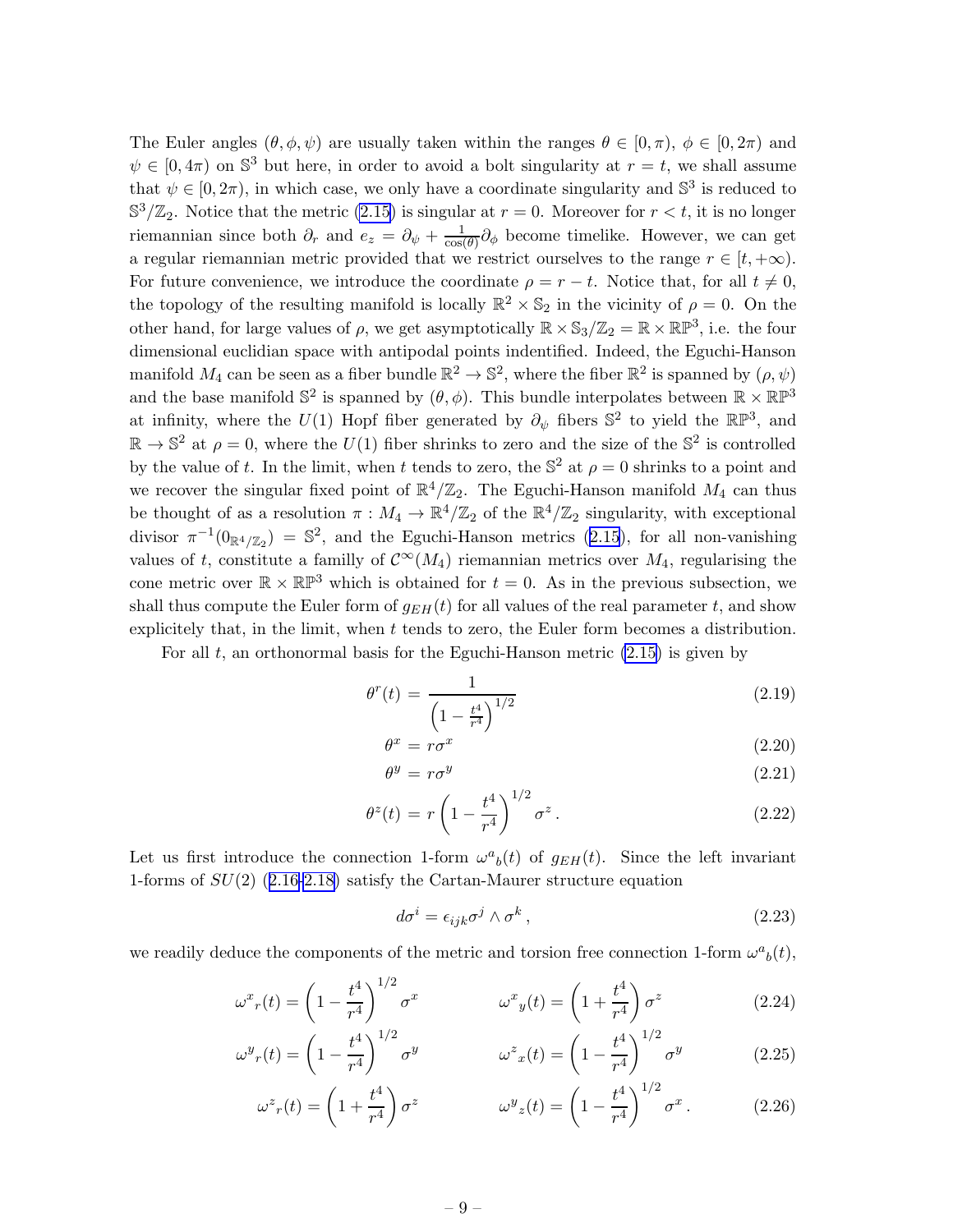The Euler angles  $(\theta, \phi, \psi)$  are usually taken within the ranges  $\theta \in [0, \pi)$ ,  $\phi \in [0, 2\pi)$  and  $\psi \in [0, 4\pi)$  on  $\mathbb{S}^3$  but here, in order to avoid a bolt singularity at  $r = t$ , we shall assume that  $\psi \in [0, 2\pi)$ , in which case, we only have a coordinate singularity and  $\mathbb{S}^3$  is reduced to  $\mathbb{S}^3/\mathbb{Z}_2$ . Notice that the metric [\(2.15\)](#page-8-0) is singular at  $r = 0$ . Moreover for  $r < t$ , it is no longer riemannian since both  $\partial_r$  and  $e_z = \partial_{\psi} + \frac{1}{\cos \theta}$  $\frac{1}{\cos(\theta)}\partial_{\phi}$  become timelike. However, we can get a regular riemannian metric provided that we restrict ourselves to the range  $r \in [t, +\infty)$ . For future convenience, we introduce the coordinate  $\rho = r - t$ . Notice that, for all  $t \neq 0$ , the topology of the resulting manifold is locally  $\mathbb{R}^2 \times \mathbb{S}_2$  in the vicinity of  $\rho = 0$ . On the other hand, for large values of  $\rho$ , we get asymptotically  $\mathbb{R} \times \mathbb{S}_3/\mathbb{Z}_2 = \mathbb{R} \times \mathbb{RP}^3$ , i.e. the four dimensional euclidian space with antipodal points indentified. Indeed, the Eguchi-Hanson manifold  $M_4$  can be seen as a fiber bundle  $\mathbb{R}^2 \to \mathbb{S}^2$ , where the fiber  $\mathbb{R}^2$  is spanned by  $(\rho, \psi)$ and the base manifold  $\mathbb{S}^2$  is spanned by  $(\theta, \phi)$ . This bundle interpolates between  $\mathbb{R} \times \mathbb{R} \mathbb{P}^3$ at infinity, where the  $U(1)$  Hopf fiber generated by  $\partial_{\psi}$  fibers  $\mathbb{S}^2$  to yield the  $\mathbb{RP}^3$ , and  $\mathbb{R} \to \mathbb{S}^2$  at  $\rho = 0$ , where the  $U(1)$  fiber shrinks to zero and the size of the  $\mathbb{S}^2$  is controlled by the value of t. In the limit, when t tends to zero, the  $\mathbb{S}^2$  at  $\rho = 0$  shrinks to a point and we recover the singular fixed point of  $\mathbb{R}^4/\mathbb{Z}_2$ . The Eguchi-Hanson manifold  $M_4$  can thus be thought of as a resolution  $\pi : M_4 \to \mathbb{R}^4/\mathbb{Z}_2$  of the  $\mathbb{R}^4/\mathbb{Z}_2$  singularity, with exceptional divisor  $\pi^{-1}(0_{\mathbb{R}^4/\mathbb{Z}_2}) = \mathbb{S}^2$ , and the Eguchi-Hanson metrics [\(2.15](#page-8-0)), for all non-vanishing values of t, constitute a familly of  $\mathcal{C}^{\infty}(M_4)$  riemannian metrics over  $M_4$ , regularising the cone metric over  $\mathbb{R} \times \mathbb{R} \mathbb{P}^3$  which is obtained for  $t = 0$ . As in the previous subsection, we shall thus compute the Euler form of  $g_{EH}(t)$  for all values of the real parameter t, and show explicitely that, in the limit, when  $t$  tends to zero, the Euler form becomes a distribution.

For all  $t$ , an orthonormal basis for the Eguchi-Hanson metric  $(2.15)$  is given by

θ

$$
\theta^r(t) = \frac{1}{\left(1 - \frac{t^4}{r^4}\right)^{1/2}}\tag{2.19}
$$

$$
x = r\sigma^x \tag{2.20}
$$

$$
\theta^y = r\sigma^y \tag{2.21}
$$

$$
\theta^{z}(t) = r \left( 1 - \frac{t^{4}}{r^{4}} \right)^{1/2} \sigma^{z}.
$$
 (2.22)

Let us first introduce the connection 1-form  $\omega^a{}_b(t)$  of  $g_{EH}(t)$ . Since the left invariant 1-forms of SU(2)([2.16-2.18\)](#page-8-0) satisfy the Cartan-Maurer structure equation

$$
d\sigma^i = \epsilon_{ijk}\sigma^j \wedge \sigma^k \,,\tag{2.23}
$$

we readily deduce the components of the metric and torsion free connection 1-form  $\omega^a{}_b(t)$ ,

$$
\omega^x r(t) = \left(1 - \frac{t^4}{r^4}\right)^{1/2} \sigma^x \qquad \omega^x y(t) = \left(1 + \frac{t^4}{r^4}\right) \sigma^z \qquad (2.24)
$$

$$
\omega^y r(t) = \left(1 - \frac{t^4}{r^4}\right)^{1/2} \sigma^y \qquad \qquad \omega^z x(t) = \left(1 - \frac{t^4}{r^4}\right)^{1/2} \sigma^y \qquad (2.25)
$$

$$
\omega^z r(t) = \left(1 + \frac{t^4}{r^4}\right)\sigma^z \qquad \qquad \omega^y z(t) = \left(1 - \frac{t^4}{r^4}\right)^{1/2}\sigma^x. \qquad (2.26)
$$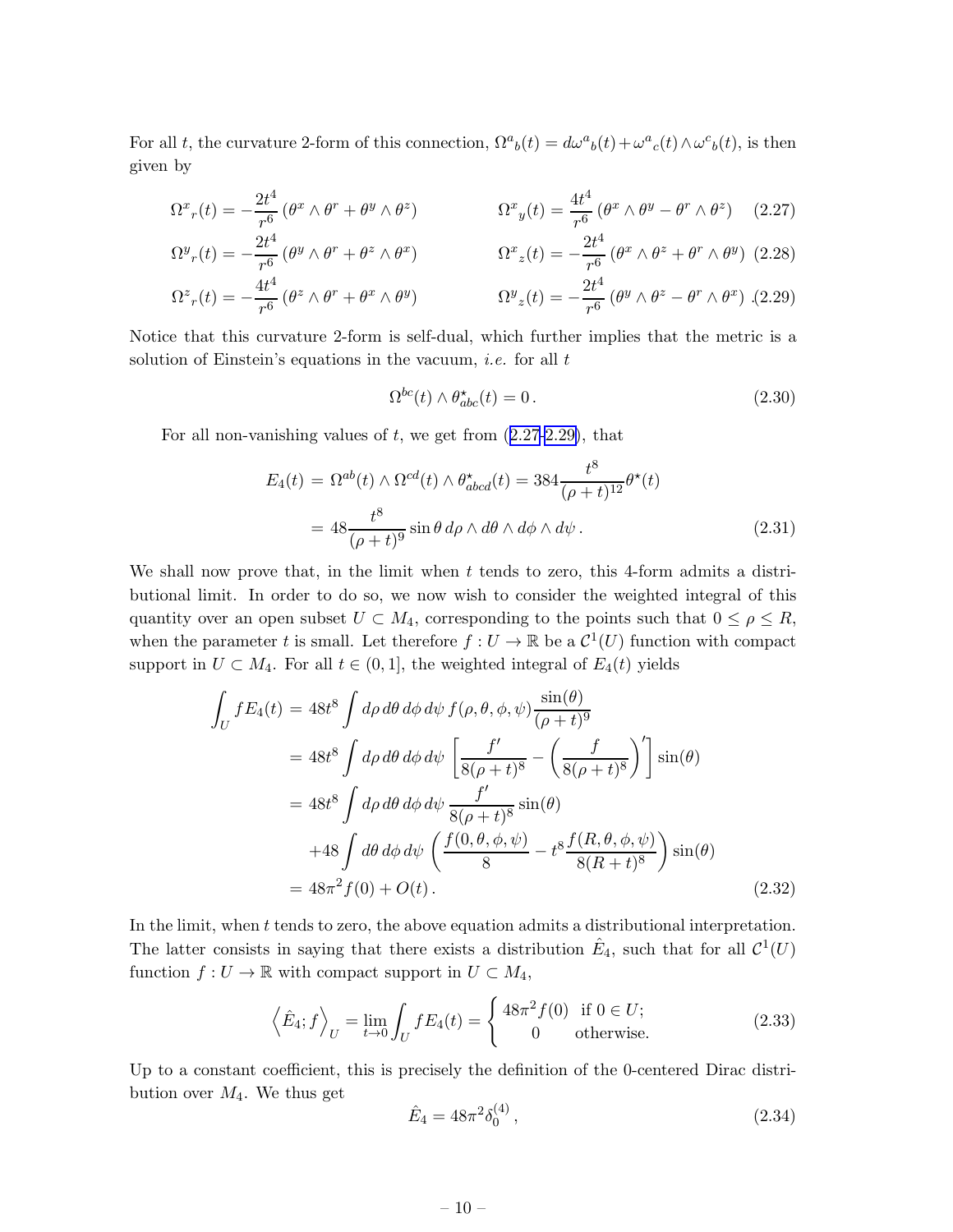<span id="page-10-0"></span>For all t, the curvature 2-form of this connection,  $\Omega^a{}_b(t) = d\omega^a{}_b(t) + \omega^a{}_c(t) \wedge \omega^c{}_b(t)$ , is then given by

$$
\Omega^x r(t) = -\frac{2t^4}{r^6} \left( \theta^x \wedge \theta^r + \theta^y \wedge \theta^z \right) \qquad \Omega^x y(t) = \frac{4t^4}{r^6} \left( \theta^x \wedge \theta^y - \theta^r \wedge \theta^z \right) \tag{2.27}
$$

$$
\Omega^y r(t) = -\frac{2t^4}{r^6} \left( \theta^y \wedge \theta^r + \theta^z \wedge \theta^x \right) \qquad \qquad \Omega^x z(t) = -\frac{2t^4}{r^6} \left( \theta^x \wedge \theta^z + \theta^r \wedge \theta^y \right) \tag{2.28}
$$

$$
\Omega^z_r(t) = -\frac{4t}{r^6} \left( \theta^z \wedge \theta^r + \theta^x \wedge \theta^y \right) \qquad \qquad \Omega^y_z(t) = -\frac{2t}{r^6} \left( \theta^y \wedge \theta^z - \theta^r \wedge \theta^x \right) \tag{2.29}
$$

Notice that this curvature 2-form is self-dual, which further implies that the metric is a solution of Einstein's equations in the vacuum, *i.e.* for all  $t$ 

$$
\Omega^{bc}(t) \wedge \theta_{abc}^{\star}(t) = 0. \qquad (2.30)
$$

For all non-vanishing values of  $t$ , we get from  $(2.27-2.29)$ , that

$$
E_4(t) = \Omega^{ab}(t) \wedge \Omega^{cd}(t) \wedge \theta_{abcd}^{\star}(t) = 384 \frac{t^8}{(\rho + t)^{12}} \theta^{\star}(t)
$$
  
= 
$$
48 \frac{t^8}{(\rho + t)^9} \sin \theta \, d\rho \wedge d\theta \wedge d\phi \wedge d\psi.
$$
 (2.31)

We shall now prove that, in the limit when t tends to zero, this 4-form admits a distributional limit. In order to do so, we now wish to consider the weighted integral of this quantity over an open subset  $U \subset M_4$ , corresponding to the points such that  $0 \le \rho \le R$ , when the parameter t is small. Let therefore  $f: U \to \mathbb{R}$  be a  $\mathcal{C}^1(U)$  function with compact support in  $U \subset M_4$ . For all  $t \in (0,1]$ , the weighted integral of  $E_4(t)$  yields

$$
\int_{U} fE_4(t) = 48t^8 \int d\rho \, d\theta \, d\phi \, d\psi \, f(\rho, \theta, \phi, \psi) \frac{\sin(\theta)}{(\rho + t)^9}
$$
\n
$$
= 48t^8 \int d\rho \, d\theta \, d\phi \, d\psi \left[ \frac{f'}{8(\rho + t)^8} - \left( \frac{f}{8(\rho + t)^8} \right)' \right] \sin(\theta)
$$
\n
$$
= 48t^8 \int d\rho \, d\theta \, d\phi \, d\psi \, \frac{f'}{8(\rho + t)^8} \sin(\theta)
$$
\n
$$
+ 48 \int d\theta \, d\phi \, d\psi \left( \frac{f(0, \theta, \phi, \psi)}{8} - t^8 \frac{f(R, \theta, \phi, \psi)}{8(R + t)^8} \right) \sin(\theta)
$$
\n
$$
= 48\pi^2 f(0) + O(t) \,.
$$
\n(2.32)

In the limit, when t tends to zero, the above equation admits a distributional interpretation. The latter consists in saying that there exists a distribution  $\hat{E}_4$ , such that for all  $\mathcal{C}^1(U)$ function  $f: U \to \mathbb{R}$  with compact support in  $U \subset M_4$ ,

$$
\left\langle \hat{E}_4; f \right\rangle_U = \lim_{t \to 0} \int_U f E_4(t) = \begin{cases} 48\pi^2 f(0) & \text{if } 0 \in U; \\ 0 & \text{otherwise.} \end{cases}
$$
 (2.33)

Up to a constant coefficient, this is precisely the definition of the 0-centered Dirac distribution over  $M_4$ . We thus get

$$
\hat{E}_4 = 48\pi^2 \delta_0^{(4)},\tag{2.34}
$$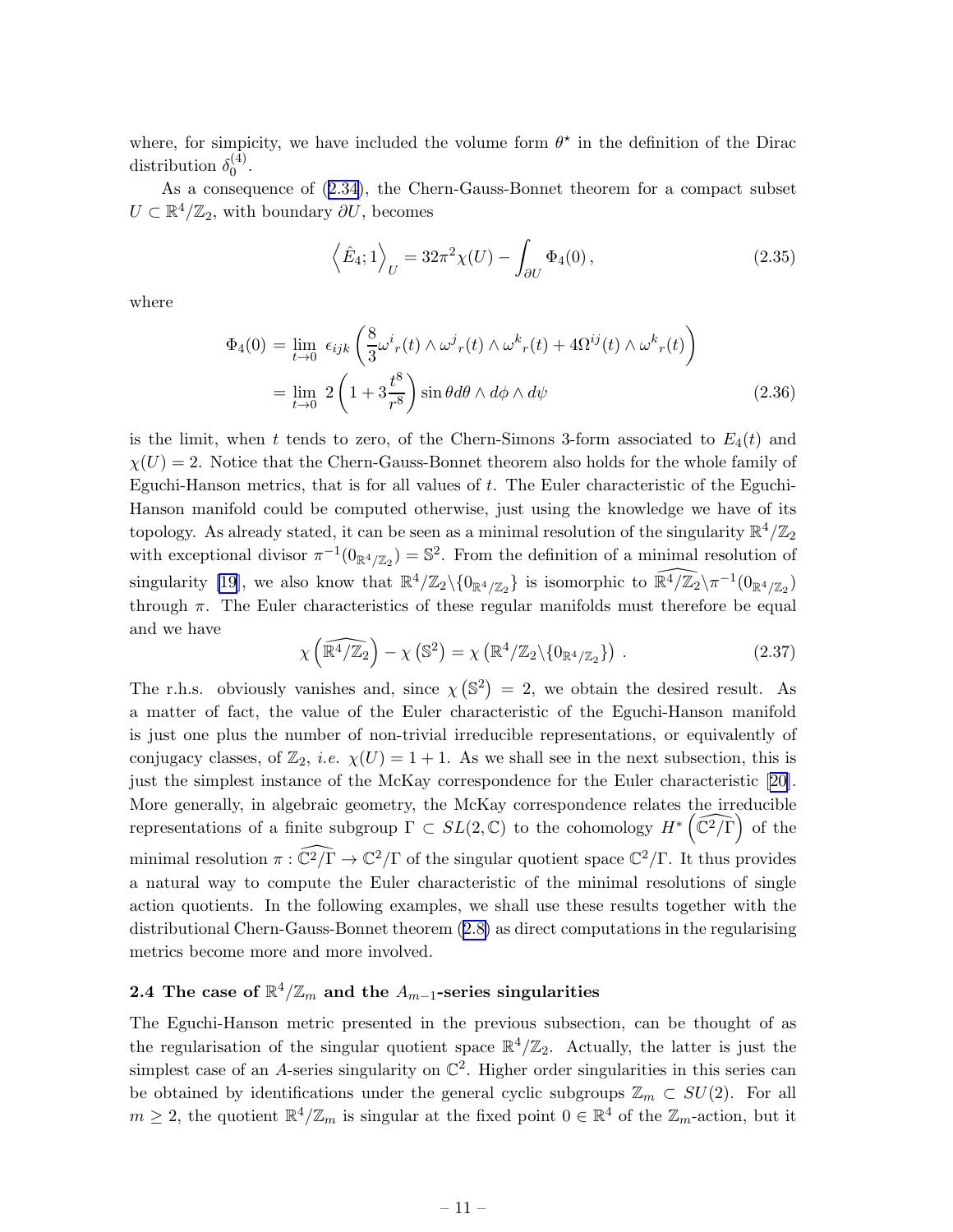<span id="page-11-0"></span>where, for simplicity, we have included the volume form  $\theta^*$  in the definition of the Dirac distribution  $\delta_0^{(4)}$  $0^{(4)}$ .

As a consequence of([2.34](#page-10-0)), the Chern-Gauss-Bonnet theorem for a compact subset  $U \subset \mathbb{R}^4/\mathbb{Z}_2$ , with boundary  $\partial U$ , becomes

$$
\langle \hat{E}_4; 1 \rangle_U = 32\pi^2 \chi(U) - \int_{\partial U} \Phi_4(0),
$$
 (2.35)

where

$$
\Phi_4(0) = \lim_{t \to 0} \epsilon_{ijk} \left( \frac{8}{3} \omega^i{}_r(t) \wedge \omega^j{}_r(t) \wedge \omega^k{}_r(t) + 4\Omega^{ij}(t) \wedge \omega^k{}_r(t) \right)
$$
  
= 
$$
\lim_{t \to 0} 2 \left( 1 + 3\frac{t^8}{r^8} \right) \sin \theta d\theta \wedge d\phi \wedge d\psi
$$
 (2.36)

is the limit, when t tends to zero, of the Chern-Simons 3-form associated to  $E_4(t)$  and  $\chi(U) = 2$ . Notice that the Chern-Gauss-Bonnet theorem also holds for the whole family of Eguchi-Hanson metrics, that is for all values of  $t$ . The Euler characteristic of the Eguchi-Hanson manifold could be computed otherwise, just using the knowledge we have of its topology. As already stated, it can be seen as a minimal resolution of the singularity  $\mathbb{R}^4/\mathbb{Z}_2$ with exceptional divisor  $\pi^{-1}(0_{\mathbb{R}^4/\mathbb{Z}_2}) = \mathbb{S}^2$ . From the definition of a minimal resolution of singularity [\[19](#page-21-0)], we also know that  $\mathbb{R}^4/\mathbb{Z}_2\setminus\{0_{\mathbb{R}^4/\mathbb{Z}_2}\}\$ is isomorphic to  $\widehat{\mathbb{R}^4/\mathbb{Z}_2}\setminus\pi^{-1}(0_{\mathbb{R}^4/\mathbb{Z}_2})$ through  $\pi$ . The Euler characteristics of these regular manifolds must therefore be equal and we have

$$
\chi\left(\widehat{\mathbb{R}^4/\mathbb{Z}_2}\right) - \chi\left(\mathbb{S}^2\right) = \chi\left(\mathbb{R}^4/\mathbb{Z}_2\backslash\{0_{\mathbb{R}^4/\mathbb{Z}_2}\}\right).
$$
 (2.37)

The r.h.s. obviously vanishes and, since  $\chi(\mathbb{S}^2) = 2$ , we obtain the desired result. As a matter of fact, the value of the Euler characteristic of the Eguchi-Hanson manifold is just one plus the number of non-trivial irreducible representations, or equivalently of conjugacy classes, of  $\mathbb{Z}_2$ , *i.e.*  $\chi(U) = 1 + 1$ . As we shall see in the next subsection, this is just the simplest instance of the McKay correspondence for the Euler characteristic[[20\]](#page-21-0). More generally, in algebraic geometry, the McKay correspondence relates the irreducible representations of a finite subgroup  $\Gamma \subset SL(2,\mathbb{C})$  to the cohomology  $H^*\left(\widehat{\mathbb{C}^2/\Gamma}\right)$  of the minimal resolution  $\pi : \widehat{\mathbb{C}^2/\Gamma} \to \mathbb{C}^2/\Gamma$  of the singular quotient space  $\mathbb{C}^2/\Gamma$ . It thus provides a natural way to compute the Euler characteristic of the minimal resolutions of single action quotients. In the following examples, we shall use these results together with the distributional Chern-Gauss-Bonnet theorem([2.8\)](#page-6-0) as direct computations in the regularising metrics become more and more involved.

# 2.4 The case of  $\mathbb{R}^4/\mathbb{Z}_m$  and the  $A_{m-1}$ -series singularities

The Eguchi-Hanson metric presented in the previous subsection, can be thought of as the regularisation of the singular quotient space  $\mathbb{R}^4/\mathbb{Z}_2$ . Actually, the latter is just the simplest case of an A-series singularity on  $\mathbb{C}^2$ . Higher order singularities in this series can be obtained by identifications under the general cyclic subgroups  $\mathbb{Z}_m \subset SU(2)$ . For all  $m \geq 2$ , the quotient  $\mathbb{R}^4/\mathbb{Z}_m$  is singular at the fixed point  $0 \in \mathbb{R}^4$  of the  $\mathbb{Z}_m$ -action, but it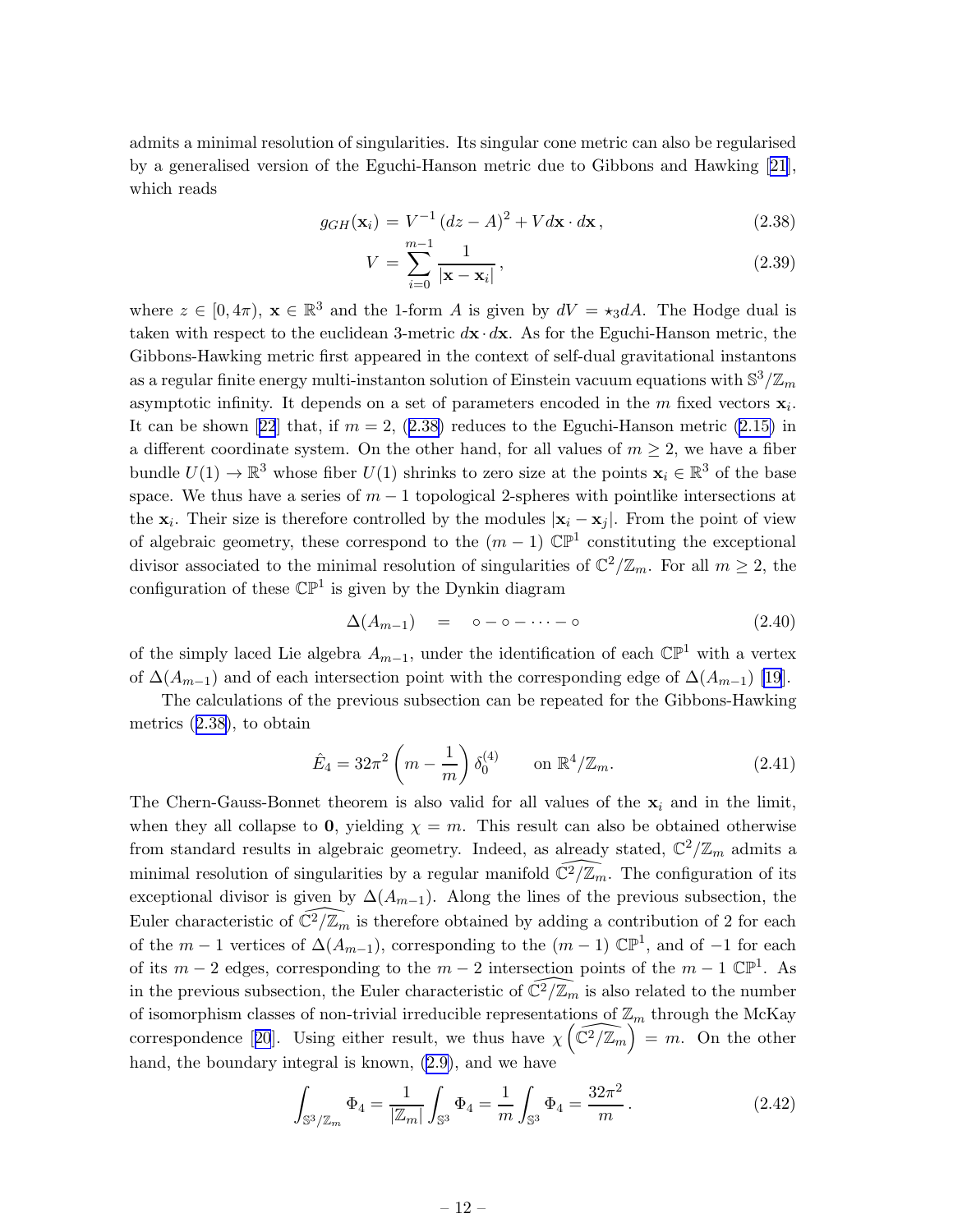<span id="page-12-0"></span>admits a minimal resolution of singularities. Its singular cone metric can also be regularised by a generalised version of the Eguchi-Hanson metric due to Gibbons and Hawking[[21\]](#page-21-0), which reads

$$
g_{GH}(\mathbf{x}_i) = V^{-1} (dz - A)^2 + V d\mathbf{x} \cdot d\mathbf{x},
$$
\n(2.38)

$$
V = \sum_{i=0}^{m-1} \frac{1}{|\mathbf{x} - \mathbf{x}_i|},
$$
\n(2.39)

where  $z \in [0, 4\pi)$ ,  $\mathbf{x} \in \mathbb{R}^3$  and the 1-form A is given by  $dV = \star_3 dA$ . The Hodge dual is taken with respect to the euclidean 3-metric  $d\mathbf{x} \cdot d\mathbf{x}$ . As for the Eguchi-Hanson metric, the Gibbons-Hawking metric first appeared in the context of self-dual gravitational instantons as a regular finite energy multi-instanton solution of Einstein vacuum equations with  $\mathbb{S}^3/\mathbb{Z}_m$ asymptotic infinity. It depends on a set of parameters encoded in the  $m$  fixed vectors  $\mathbf{x}_i$ . Itcan be shown [[22](#page-21-0)] that, if  $m = 2$ , (2.38) reduces to the Eguchi-Hanson metric [\(2.15\)](#page-8-0) in a different coordinate system. On the other hand, for all values of  $m \geq 2$ , we have a fiber bundle  $U(1) \to \mathbb{R}^3$  whose fiber  $U(1)$  shrinks to zero size at the points  $\mathbf{x}_i \in \mathbb{R}^3$  of the base space. We thus have a series of  $m-1$  topological 2-spheres with pointlike intersections at the  $x_i$ . Their size is therefore controlled by the modules  $|x_i - x_j|$ . From the point of view of algebraic geometry, these correspond to the  $(m-1)$   $\mathbb{CP}^1$  constituting the exceptional divisor associated to the minimal resolution of singularities of  $\mathbb{C}^2/\mathbb{Z}_m$ . For all  $m \geq 2$ , the configuration of these  $\mathbb{CP}^1$  is given by the Dynkin diagram

$$
\Delta(A_{m-1}) = \circ - \circ - \cdots - \circ \tag{2.40}
$$

of the simply laced Lie algebra  $A_{m-1}$ , under the identification of each  $\mathbb{CP}^1$  with a vertex of  $\Delta(A_{m-1})$  and of each intersection point with the corresponding edge of  $\Delta(A_{m-1})$  [\[19](#page-21-0)].

The calculations of the previous subsection can be repeated for the Gibbons-Hawking metrics (2.38), to obtain

$$
\hat{E}_4 = 32\pi^2 \left( m - \frac{1}{m} \right) \delta_0^{(4)} \qquad \text{on } \mathbb{R}^4 / \mathbb{Z}_m.
$$
 (2.41)

The Chern-Gauss-Bonnet theorem is also valid for all values of the  $x_i$  and in the limit, when they all collapse to 0, yielding  $\chi = m$ . This result can also be obtained otherwise from standard results in algebraic geometry. Indeed, as already stated,  $\mathbb{C}^2/\mathbb{Z}_m$  admits a minimal resolution of singularities by a regular manifold  $\widehat{\mathbb{C}^2/\mathbb{Z}_m}$ . The configuration of its exceptional divisor is given by  $\Delta(A_{m-1})$ . Along the lines of the previous subsection, the Euler characteristic of  $\overline{\mathbb{C}^2/\mathbb{Z}_m}$  is therefore obtained by adding a contribution of 2 for each of the  $m-1$  vertices of  $\Delta(A_{m-1})$ , corresponding to the  $(m-1)$   $\mathbb{CP}^1$ , and of  $-1$  for each of its  $m-2$  edges, corresponding to the  $m-2$  intersection points of the  $m-1 \mathbb{CP}^1$ . As in the previous subsection, the Euler characteristic of  $\mathbb{C}^2/\mathbb{Z}_m$  is also related to the number of isomorphism classes of non-trivial irreducible representations of  $\mathbb{Z}_m$  through the McKay correspondence[[20](#page-21-0)]. Using either result, we thus have  $\chi\left(\widehat{\mathbb{C}^2/\mathbb{Z}_m}\right)^m = m$ . On the other hand, the boundary integral is known, [\(2.9\)](#page-6-0), and we have

$$
\int_{\mathbb{S}^3/\mathbb{Z}_m} \Phi_4 = \frac{1}{|\mathbb{Z}_m|} \int_{\mathbb{S}^3} \Phi_4 = \frac{1}{m} \int_{\mathbb{S}^3} \Phi_4 = \frac{32\pi^2}{m}.
$$
 (2.42)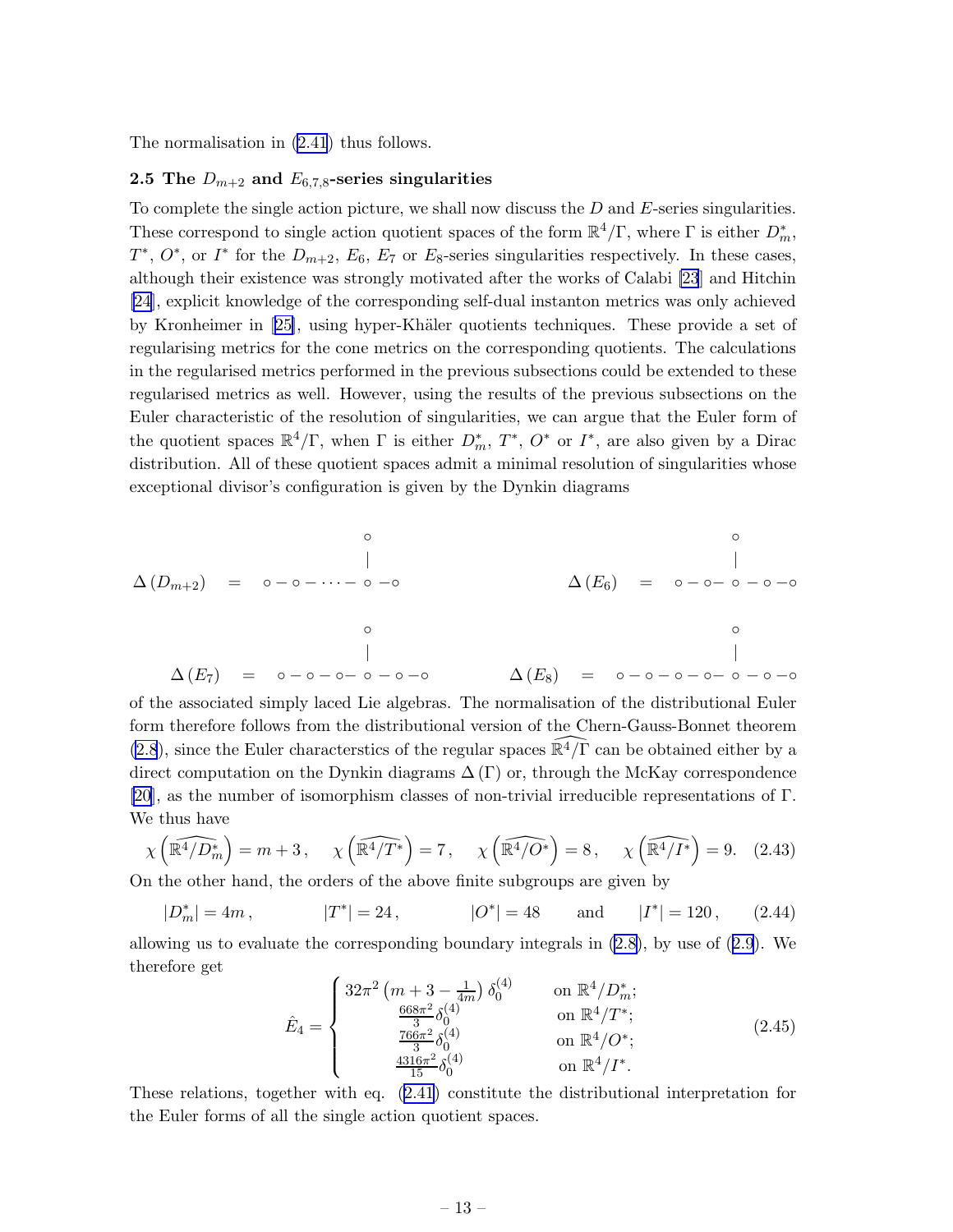<span id="page-13-0"></span>The normalisation in [\(2.41](#page-12-0)) thus follows.

# 2.5 The  $D_{m+2}$  and  $E_{6,7,8}$ -series singularities

To complete the single action picture, we shall now discuss the  $D$  and  $E$ -series singularities. These correspond to single action quotient spaces of the form  $\mathbb{R}^4/\Gamma$ , where  $\Gamma$  is either  $D_m^*$ ,  $T^*, O^*,$  or  $I^*$  for the  $D_{m+2}, E_6, E_7$  or  $E_8$ -series singularities respectively. In these cases, although their existence was strongly motivated after the works of Calabi [\[23](#page-21-0)] and Hitchin [\[24](#page-21-0)], explicit knowledge of the corresponding self-dual instanton metrics was only achieved byKronheimer in [[25\]](#page-21-0), using hyper-Khäler quotients techniques. These provide a set of regularising metrics for the cone metrics on the corresponding quotients. The calculations in the regularised metrics performed in the previous subsections could be extended to these regularised metrics as well. However, using the results of the previous subsections on the Euler characteristic of the resolution of singularities, we can argue that the Euler form of the quotient spaces  $\mathbb{R}^4/\Gamma$ , when  $\Gamma$  is either  $D_m^*$ ,  $T^*$ ,  $O^*$  or  $I^*$ , are also given by a Dirac distribution. All of these quotient spaces admit a minimal resolution of singularities whose exceptional divisor's configuration is given by the Dynkin diagrams

$$
\Delta(D_{m+2}) = 0 - 0 - \cdots - 0 - 0
$$
\n
$$
\Delta(E_6) = 0 - 0 - 0 - 0 - 0
$$
\n
$$
\Delta(E_7) = 0 - 0 - 0 - 0 - 0 - 0
$$
\n
$$
\Delta(E_8) = 0 - 0 - 0 - 0 - 0 - 0 - 0
$$

of the associated simply laced Lie algebras. The normalisation of the distributional Euler form therefore follows from the distributional version of the Chern-Gauss-Bonnet theorem [\(2.8](#page-6-0)), since the Euler characterstics of the regular spaces  $\mathbb{R}^{4}/\Gamma$  can be obtained either by a direct computation on the Dynkin diagrams  $\Delta(\Gamma)$  or, through the McKay correspondence [\[20](#page-21-0)], as the number of isomorphism classes of non-trivial irreducible representations of Γ. We thus have

$$
\chi\left(\widehat{\mathbb{R}^4/D_n^*}\right) = m + 3, \quad \chi\left(\widehat{\mathbb{R}^4/T^*}\right) = 7, \quad \chi\left(\widehat{\mathbb{R}^4/O^*}\right) = 8, \quad \chi\left(\widehat{\mathbb{R}^4/I^*}\right) = 9. \tag{2.43}
$$

On the other hand, the orders of the above finite subgroups are given by

$$
|D_m^*| = 4m
$$
,  $|T^*| = 24$ ,  $|O^*| = 48$  and  $|I^*| = 120$ , (2.44)

allowing us to evaluate the corresponding boundary integrals in [\(2.8\)](#page-6-0), by use of([2.9](#page-6-0)). We therefore get

$$
\hat{E}_4 = \begin{cases}\n32\pi^2 \left(m + 3 - \frac{1}{4m}\right) \delta_0^{(4)} & \text{on } \mathbb{R}^4 / D_m^*; \\
\frac{668\pi^2}{3} \delta_0^{(4)} & \text{on } \mathbb{R}^4 / T^*; \\
\frac{766\pi^2}{3} \delta_0^{(4)} & \text{on } \mathbb{R}^4 / O^*; \\
\frac{4316\pi^2}{15} \delta_0^{(4)} & \text{on } \mathbb{R}^4 / I^*. \n\end{cases} \tag{2.45}
$$

These relations, together with eq.([2.41\)](#page-12-0) constitute the distributional interpretation for the Euler forms of all the single action quotient spaces.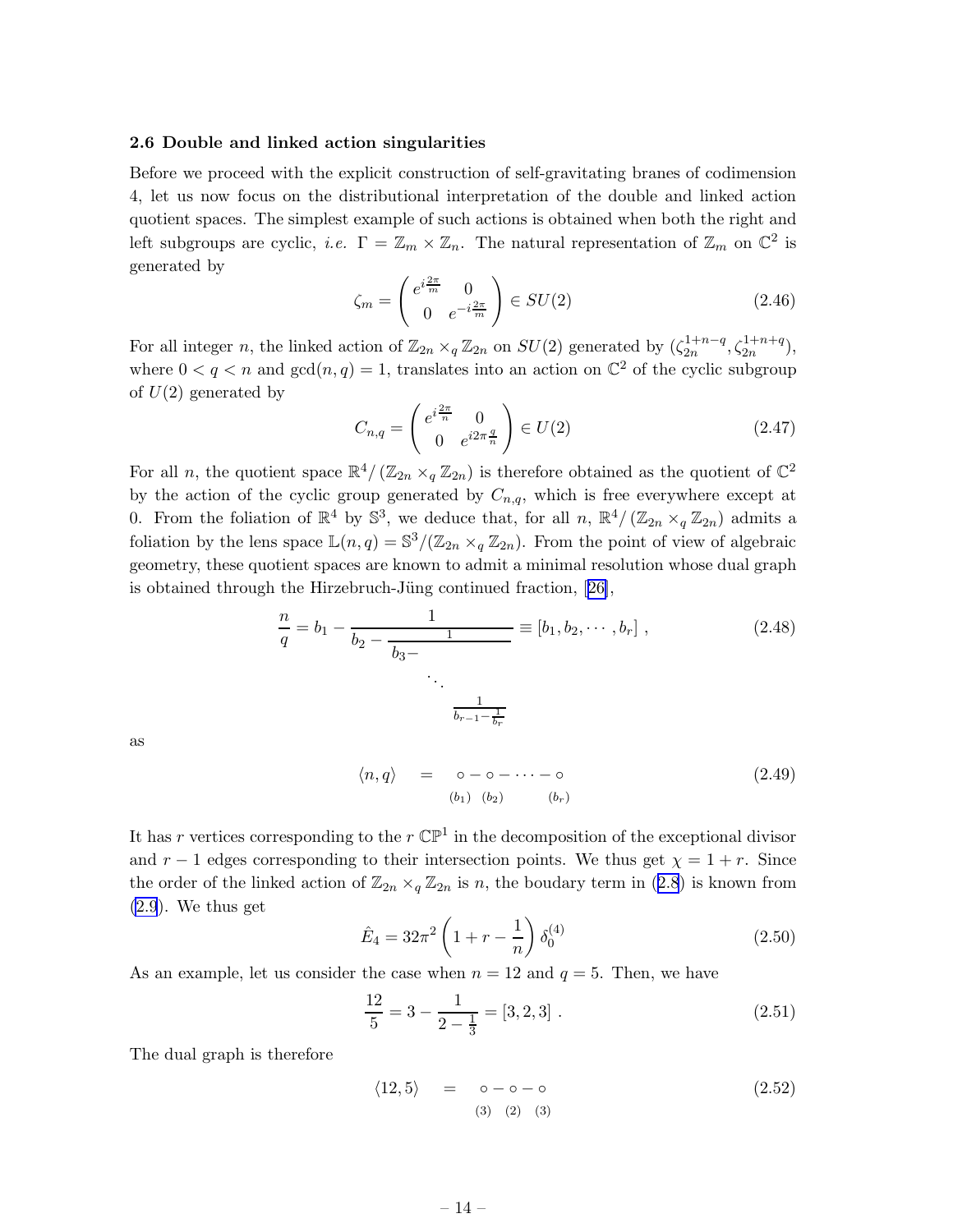### <span id="page-14-0"></span>2.6 Double and linked action singularities

Before we proceed with the explicit construction of self-gravitating branes of codimension 4, let us now focus on the distributional interpretation of the double and linked action quotient spaces. The simplest example of such actions is obtained when both the right and left subgroups are cyclic, *i.e.*  $\Gamma = \mathbb{Z}_m \times \mathbb{Z}_n$ . The natural representation of  $\mathbb{Z}_m$  on  $\mathbb{C}^2$  is generated by

$$
\zeta_m = \begin{pmatrix} e^{i\frac{2\pi}{m}} & 0\\ 0 & e^{-i\frac{2\pi}{m}} \end{pmatrix} \in SU(2)
$$
\n(2.46)

For all integer n, the linked action of  $\mathbb{Z}_{2n} \times_q \mathbb{Z}_{2n}$  on  $SU(2)$  generated by  $(\zeta_{2n}^{1+n-q})$  $\zeta_{2n}^{1+n-q}, \zeta_{2n}^{1+n+q}$ ), where  $0 < q < n$  and  $gcd(n, q) = 1$ , translates into an action on  $\mathbb{C}^2$  of the cyclic subgroup of  $U(2)$  generated by

$$
C_{n,q} = \begin{pmatrix} e^{i\frac{2\pi}{n}} & 0\\ 0 & e^{i2\pi \frac{q}{n}} \end{pmatrix} \in U(2)
$$
 (2.47)

For all n, the quotient space  $\mathbb{R}^4/(\mathbb{Z}_{2n} \times_q \mathbb{Z}_{2n})$  is therefore obtained as the quotient of  $\mathbb{C}^2$ by the action of the cyclic group generated by  $C_{n,q}$ , which is free everywhere except at 0. From the foliation of  $\mathbb{R}^4$  by  $\mathbb{S}^3$ , we deduce that, for all  $n, \mathbb{R}^4/(\mathbb{Z}_{2n} \times_q \mathbb{Z}_{2n})$  admits a foliation by the lens space  $\mathbb{L}(n,q) = \mathbb{S}^3/(\mathbb{Z}_{2n} \times_q \mathbb{Z}_{2n})$ . From the point of view of algebraic geometry, these quotient spaces are known to admit a minimal resolution whose dual graph isobtained through the Hirzebruch-Jüng continued fraction,  $[26]$  $[26]$ ,

$$
\frac{n}{q} = b_1 - \frac{1}{b_2 - \frac{1}{b_3 - \dots - \frac{1}{b_{r-1} - \frac{1}{b_r}}}} \equiv [b_1, b_2, \dots, b_r] ,
$$
\n(2.48)

as

$$
\langle n, q \rangle = \circ - \circ - \cdots - \circ
$$
\n
$$
\langle b_1 \rangle \langle b_2 \rangle \langle b_r \rangle
$$
\n(2.49)

It has r vertices corresponding to the  $r \mathbb{CP}^1$  in the decomposition of the exceptional divisor and  $r - 1$  edges corresponding to their intersection points. We thus get  $\chi = 1 + r$ . Since theorder of the linked action of  $\mathbb{Z}_{2n} \times_q \mathbb{Z}_{2n}$  is n, the boudary term in ([2.8](#page-6-0)) is known from [\(2.9](#page-6-0)). We thus get

$$
\hat{E}_4 = 32\pi^2 \left(1 + r - \frac{1}{n}\right) \delta_0^{(4)} \tag{2.50}
$$

As an example, let us consider the case when  $n = 12$  and  $q = 5$ . Then, we have

$$
\frac{12}{5} = 3 - \frac{1}{2 - \frac{1}{3}} = [3, 2, 3].
$$
\n(2.51)

The dual graph is therefore

$$
\langle 12, 5 \rangle = \circ - \circ - \circ
$$
\n
$$
\langle 3 \rangle \quad (2) \quad (3)
$$
\n
$$
\langle 2.52 \rangle
$$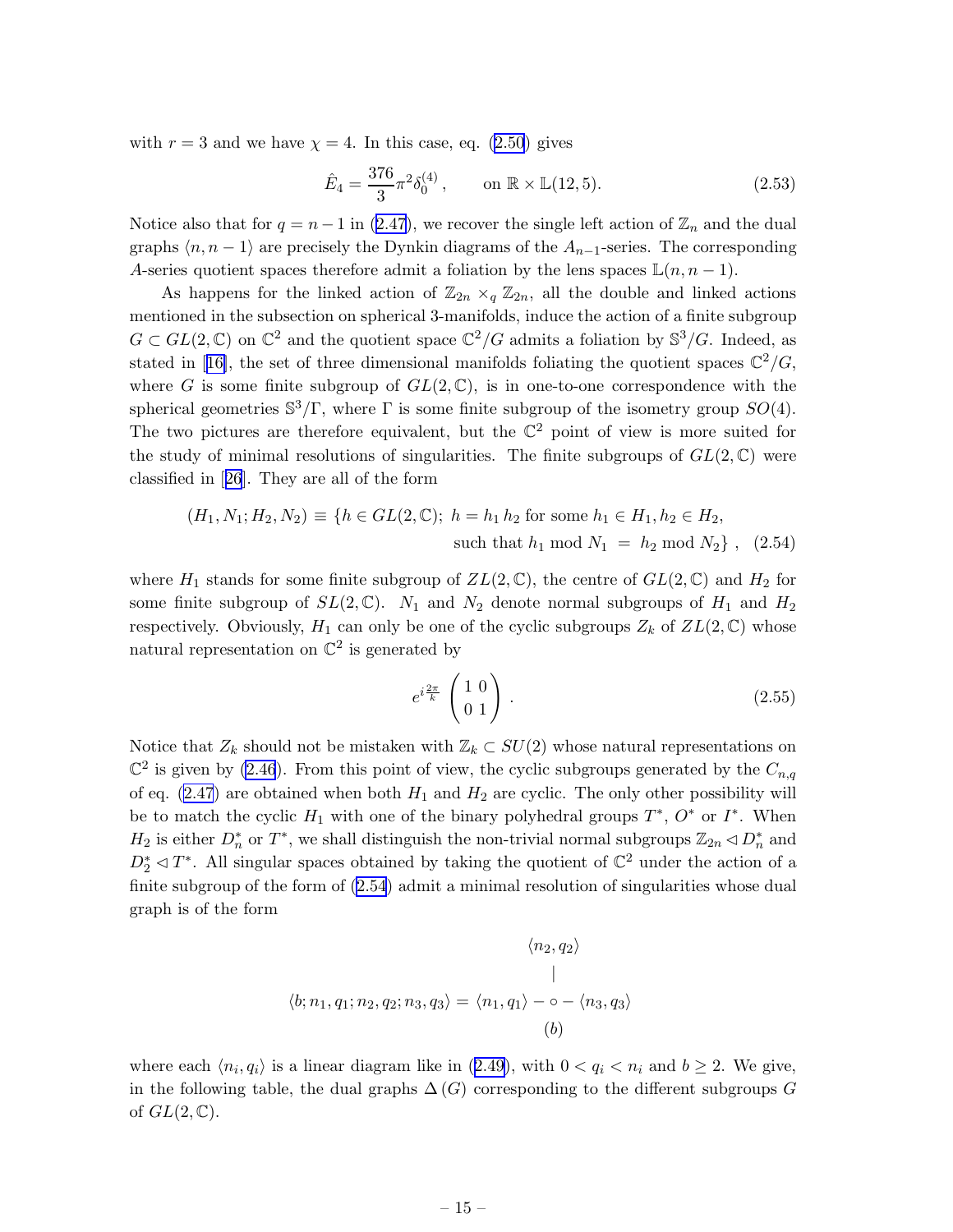<span id="page-15-0"></span>with $r = 3$  and we have  $\chi = 4$ . In this case, eq. ([2.50](#page-14-0)) gives

$$
\hat{E}_4 = \frac{376}{3} \pi^2 \delta_0^{(4)}, \qquad \text{on } \mathbb{R} \times \mathbb{L}(12, 5). \tag{2.53}
$$

Noticealso that for  $q = n - 1$  in ([2.47\)](#page-14-0), we recover the single left action of  $\mathbb{Z}_n$  and the dual graphs  $\langle n, n - 1 \rangle$  are precisely the Dynkin diagrams of the  $A_{n-1}$ -series. The corresponding A-series quotient spaces therefore admit a foliation by the lens spaces  $\mathbb{L}(n, n-1)$ .

As happens for the linked action of  $\mathbb{Z}_{2n} \times_q \mathbb{Z}_{2n}$ , all the double and linked actions mentioned in the subsection on spherical 3-manifolds, induce the action of a finite subgroup  $G \subset GL(2,\mathbb{C})$  on  $\mathbb{C}^2$  and the quotient space  $\mathbb{C}^2/G$  admits a foliation by  $\mathbb{S}^3/G$ . Indeed, as statedin [[16\]](#page-21-0), the set of three dimensional manifolds foliating the quotient spaces  $\mathbb{C}^2/G$ , where G is some finite subgroup of  $GL(2,\mathbb{C})$ , is in one-to-one correspondence with the spherical geometries  $\mathbb{S}^3/\Gamma$ , where  $\Gamma$  is some finite subgroup of the isometry group  $SO(4)$ . The two pictures are therefore equivalent, but the  $\mathbb{C}^2$  point of view is more suited for the study of minimal resolutions of singularities. The finite subgroups of  $GL(2,\mathbb{C})$  were classified in[[26](#page-21-0)]. They are all of the form

$$
(H_1, N_1; H_2, N_2) \equiv \{ h \in GL(2, \mathbb{C}); \ h = h_1 \ h_2 \text{ for some } h_1 \in H_1, h_2 \in H_2, \text{such that } h_1 \text{ mod } N_1 = h_2 \text{ mod } N_2 \}, \quad (2.54)
$$

where  $H_1$  stands for some finite subgroup of  $ZL(2,\mathbb{C})$ , the centre of  $GL(2,\mathbb{C})$  and  $H_2$  for some finite subgroup of  $SL(2,\mathbb{C})$ .  $N_1$  and  $N_2$  denote normal subgroups of  $H_1$  and  $H_2$ respectively. Obviously,  $H_1$  can only be one of the cyclic subgroups  $Z_k$  of  $ZL(2,\mathbb{C})$  whose natural representation on  $\mathbb{C}^2$  is generated by

$$
e^{i\frac{2\pi}{k}}\begin{pmatrix}1&0\\0&1\end{pmatrix}.
$$
 (2.55)

Notice that  $Z_k$  should not be mistaken with  $\mathbb{Z}_k \subset SU(2)$  whose natural representations on  $\mathbb{C}^2$  is given by [\(2.46](#page-14-0)). From this point of view, the cyclic subgroups generated by the  $C_{n,q}$ of eq.  $(2.47)$  are obtained when both  $H_1$  and  $H_2$  are cyclic. The only other possibility will be to match the cyclic  $H_1$  with one of the binary polyhedral groups  $T^*$ ,  $O^*$  or  $I^*$ . When  $H_2$  is either  $D_n^*$  or  $T^*$ , we shall distinguish the non-trivial normal subgroups  $\mathbb{Z}_{2n} \triangleleft D_n^*$  and  $D_2^* \lhd T^*$ . All singular spaces obtained by taking the quotient of  $\mathbb{C}^2$  under the action of a finite subgroup of the form of (2.54) admit a minimal resolution of singularities whose dual graph is of the form

$$
\langle n_2, q_2 \rangle
$$
  
 
$$
\langle b; n_1, q_1; n_2, q_2; n_3, q_3 \rangle = \langle n_1, q_1 \rangle - \circ - \langle n_3, q_3 \rangle
$$
  
(b)

whereeach  $\langle n_i, q_i \rangle$  is a linear diagram like in ([2.49](#page-14-0)), with  $0 < q_i < n_i$  and  $b \ge 2$ . We give, in the following table, the dual graphs  $\Delta(G)$  corresponding to the different subgroups G of  $GL(2,\mathbb{C})$ .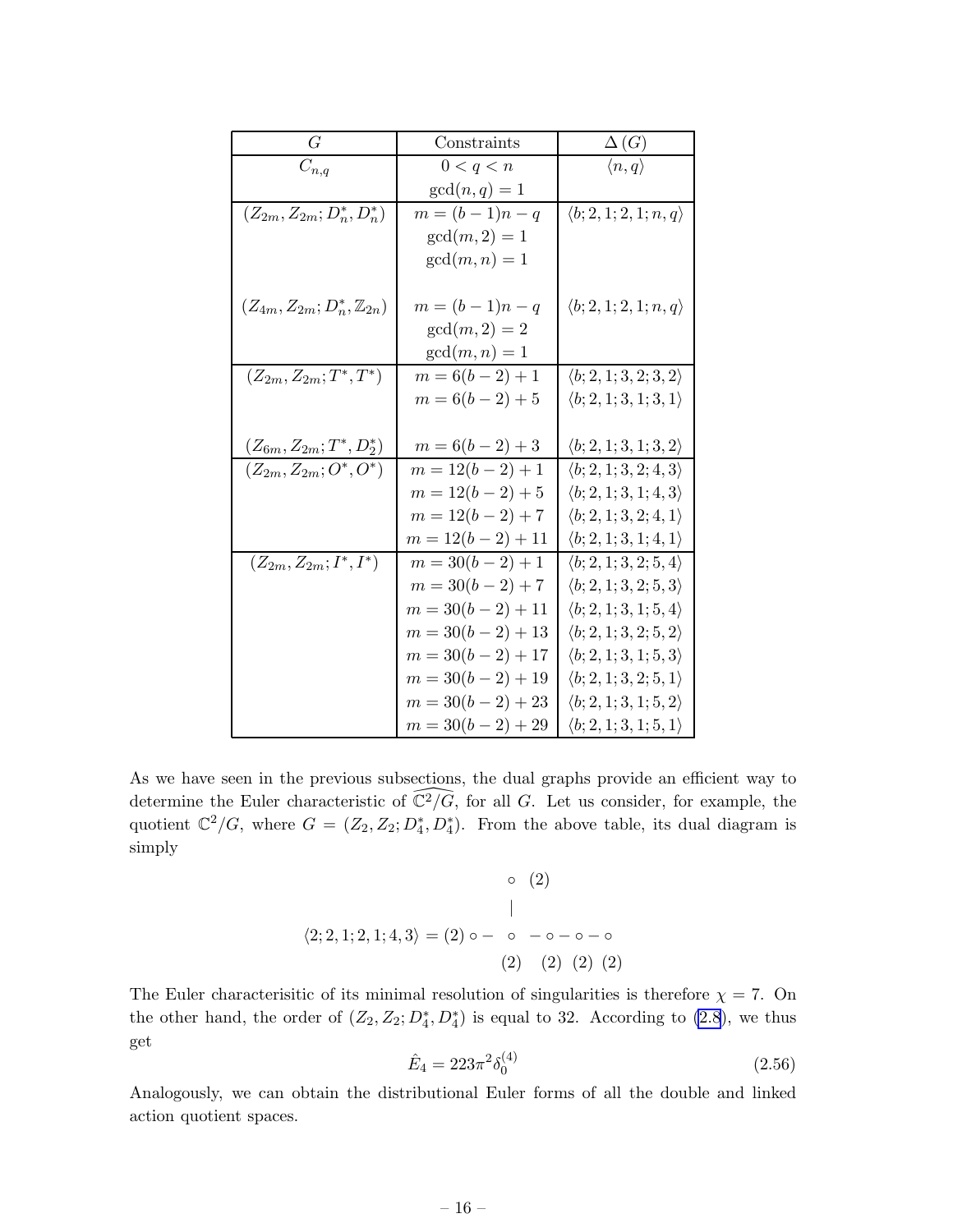<span id="page-16-0"></span>

| G                                          | Constraints          | $\Delta(G)$                           |
|--------------------------------------------|----------------------|---------------------------------------|
| $C_{n,q}$                                  | 0 < q < n            | $\langle n, q \rangle$                |
|                                            | $gcd(n, q) = 1$      |                                       |
| $(Z_{2m}, Z_{2m}; D_n^*, D_n^*)$           | $m = (b-1)n - q$     | $\langle b; 2, 1; 2, 1; n, q \rangle$ |
|                                            | $gcd(m, 2) = 1$      |                                       |
|                                            | $gcd(m, n) = 1$      |                                       |
|                                            |                      |                                       |
| $(Z_{4m}, Z_{2m}; D_n^*, \mathbb{Z}_{2n})$ | $m = (b-1)n - q$     | $\langle b; 2, 1; 2, 1; n, q \rangle$ |
|                                            | $gcd(m, 2) = 2$      |                                       |
|                                            | $gcd(m, n) = 1$      |                                       |
| $(Z_{2m}, Z_{2m}; T^*, T^*)$               | $m = 6(b - 2) + 1$   | $\langle b; 2, 1; 3, 2; 3, 2 \rangle$ |
|                                            | $m = 6(b - 2) + 5$   | $\langle b; 2, 1; 3, 1; 3, 1 \rangle$ |
|                                            |                      |                                       |
| $(Z_{6m}, Z_{2m}; T^*, D^*_2)$             | $m = 6(b - 2) + 3$   | $\langle b; 2, 1; 3, 1; 3, 2 \rangle$ |
| $(Z_{2m}, Z_{2m}; O^*, O^*)$               | $m = 12(b - 2) + 1$  | $\langle b; 2, 1; 3, 2; 4, 3 \rangle$ |
|                                            | $m = 12(b - 2) + 5$  | $\langle b; 2, 1; 3, 1; 4, 3 \rangle$ |
|                                            | $m = 12(b - 2) + 7$  | $\langle b; 2, 1; 3, 2; 4, 1 \rangle$ |
|                                            | $m = 12(b - 2) + 11$ | $\langle b; 2, 1; 3, 1; 4, 1 \rangle$ |
| $(Z_{2m}, Z_{2m}; I^*, I^*)$               | $m = 30(b - 2) + 1$  | $\langle b; 2, 1; 3, 2; 5, 4 \rangle$ |
|                                            | $m = 30(b-2) + 7$    | $\langle b; 2, 1; 3, 2; 5, 3 \rangle$ |
|                                            | $m = 30(b - 2) + 11$ | $\langle b; 2, 1; 3, 1; 5, 4 \rangle$ |
|                                            | $m = 30(b-2) + 13$   | $\langle b; 2, 1; 3, 2; 5, 2 \rangle$ |
|                                            | $m = 30(b-2) + 17$   | $\langle b; 2, 1; 3, 1; 5, 3 \rangle$ |
|                                            | $m = 30(b-2) + 19$   | $\langle b; 2, 1; 3, 2; 5, 1 \rangle$ |
|                                            | $m = 30(b-2) + 23$   | $\langle b; 2, 1; 3, 1; 5, 2 \rangle$ |
|                                            | $m = 30(b - 2) + 29$ | $\langle b; 2, 1; 3, 1; 5, 1 \rangle$ |

As we have seen in the previous subsections, the dual graphs provide an efficient way to determine the Euler characteristic of  $\widehat{\mathbb{C}^2/G}$ , for all G. Let us consider, for example, the quotient  $\mathbb{C}^2/G$ , where  $G = (Z_2, Z_2; D_4^*, D_4^*)$ . From the above table, its dual diagram is simply

$$
\begin{array}{ccc}\n & \circ & (2) \\
 & & \downarrow \\
 \langle 2; 2, 1; 2, 1; 4, 3 \rangle = (2) \circ - \circ - \circ - \circ - \circ \\
 & (2) & (2) & (2) & (2)\n\end{array}
$$

The Euler characterisitic of its minimal resolution of singularities is therefore  $\chi = 7$ . On the other hand, the order of  $(Z_2, Z_2; D_4^*, D_4^*)$  is equal to 32. According to [\(2.8](#page-6-0)), we thus get

$$
\hat{E}_4 = 223\pi^2 \delta_0^{(4)} \tag{2.56}
$$

Analogously, we can obtain the distributional Euler forms of all the double and linked action quotient spaces.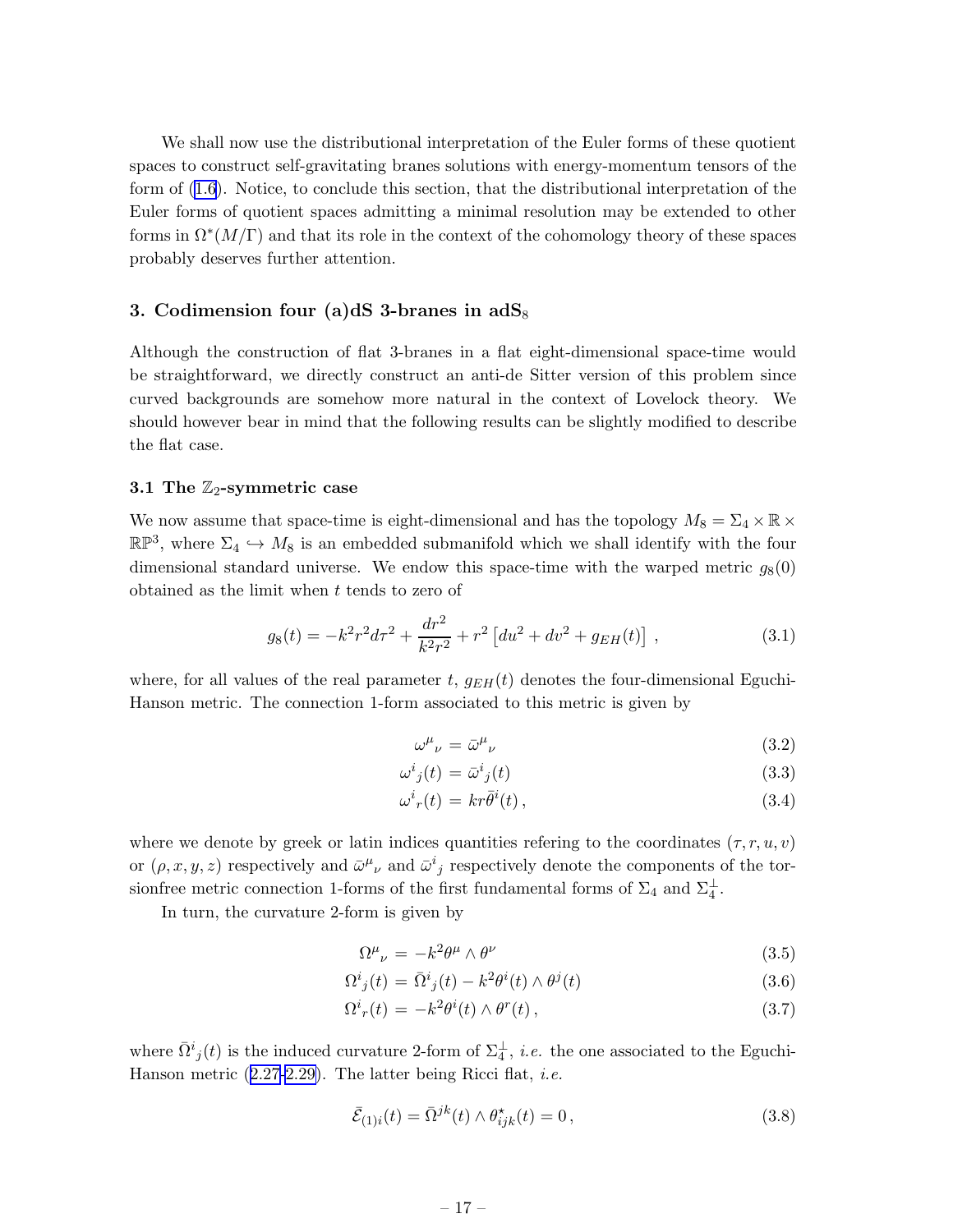<span id="page-17-0"></span>We shall now use the distributional interpretation of the Euler forms of these quotient spaces to construct self-gravitating branes solutions with energy-momentum tensors of the form of [\(1.6\)](#page-3-0). Notice, to conclude this section, that the distributional interpretation of the Euler forms of quotient spaces admitting a minimal resolution may be extended to other forms in  $\Omega^*(M/\Gamma)$  and that its role in the context of the cohomology theory of these spaces probably deserves further attention.

# 3. Codimension four (a)dS 3-branes in  $\text{adS}_8$

Although the construction of flat 3-branes in a flat eight-dimensional space-time would be straightforward, we directly construct an anti-de Sitter version of this problem since curved backgrounds are somehow more natural in the context of Lovelock theory. We should however bear in mind that the following results can be slightly modified to describe the flat case.

### 3.1 The  $\mathbb{Z}_2$ -symmetric case

We now assume that space-time is eight-dimensional and has the topology  $M_8 = \Sigma_4 \times \mathbb{R} \times$  $\mathbb{RP}^3$ , where  $\Sigma_4 \hookrightarrow M_8$  is an embedded submanifold which we shall identify with the four dimensional standard universe. We endow this space-time with the warped metric  $g_8(0)$ obtained as the limit when t tends to zero of

$$
g_8(t) = -k^2r^2d\tau^2 + \frac{dr^2}{k^2r^2} + r^2 \left[du^2 + dv^2 + g_{EH}(t)\right],
$$
 (3.1)

where, for all values of the real parameter t,  $g_{EH}(t)$  denotes the four-dimensional Eguchi-Hanson metric. The connection 1-form associated to this metric is given by

$$
\omega^{\mu}{}_{\nu} = \bar{\omega}^{\mu}{}_{\nu} \tag{3.2}
$$

$$
\omega^i{}_j(t) = \bar{\omega}^i{}_j(t) \tag{3.3}
$$

$$
\omega^i_r(t) = kr\bar{\theta}^i(t),\tag{3.4}
$$

where we denote by greek or latin indices quantities refering to the coordinates  $(\tau, r, u, v)$ or  $(\rho, x, y, z)$  respectively and  $\bar{\omega}^{\mu}{}_{\nu}$  and  $\bar{\omega}^{i}{}_{j}$  respectively denote the components of the torsionfree metric connection 1-forms of the first fundamental forms of  $\Sigma_4$  and  $\Sigma_4^{\perp}$ .

In turn, the curvature 2-form is given by

$$
\Omega^{\mu}{}_{\nu} = -k^2 \theta^{\mu} \wedge \theta^{\nu} \tag{3.5}
$$

$$
\Omega^i_j(t) = \bar{\Omega}^i_j(t) - k^2 \theta^i(t) \wedge \theta^j(t) \tag{3.6}
$$

$$
\Omega^i_r(t) = -k^2 \theta^i(t) \wedge \theta^r(t) \,, \tag{3.7}
$$

where  $\bar{\Omega}^i_j(t)$  is the induced curvature 2-form of  $\Sigma_4^{\perp}$ , *i.e.* the one associated to the EguchiHansonmetric  $(2.27-2.29)$  $(2.27-2.29)$ . The latter being Ricci flat, *i.e.* 

$$
\bar{\mathcal{E}}_{(1)i}(t) = \bar{\Omega}^{jk}(t) \wedge \theta_{ijk}^{\star}(t) = 0, \qquad (3.8)
$$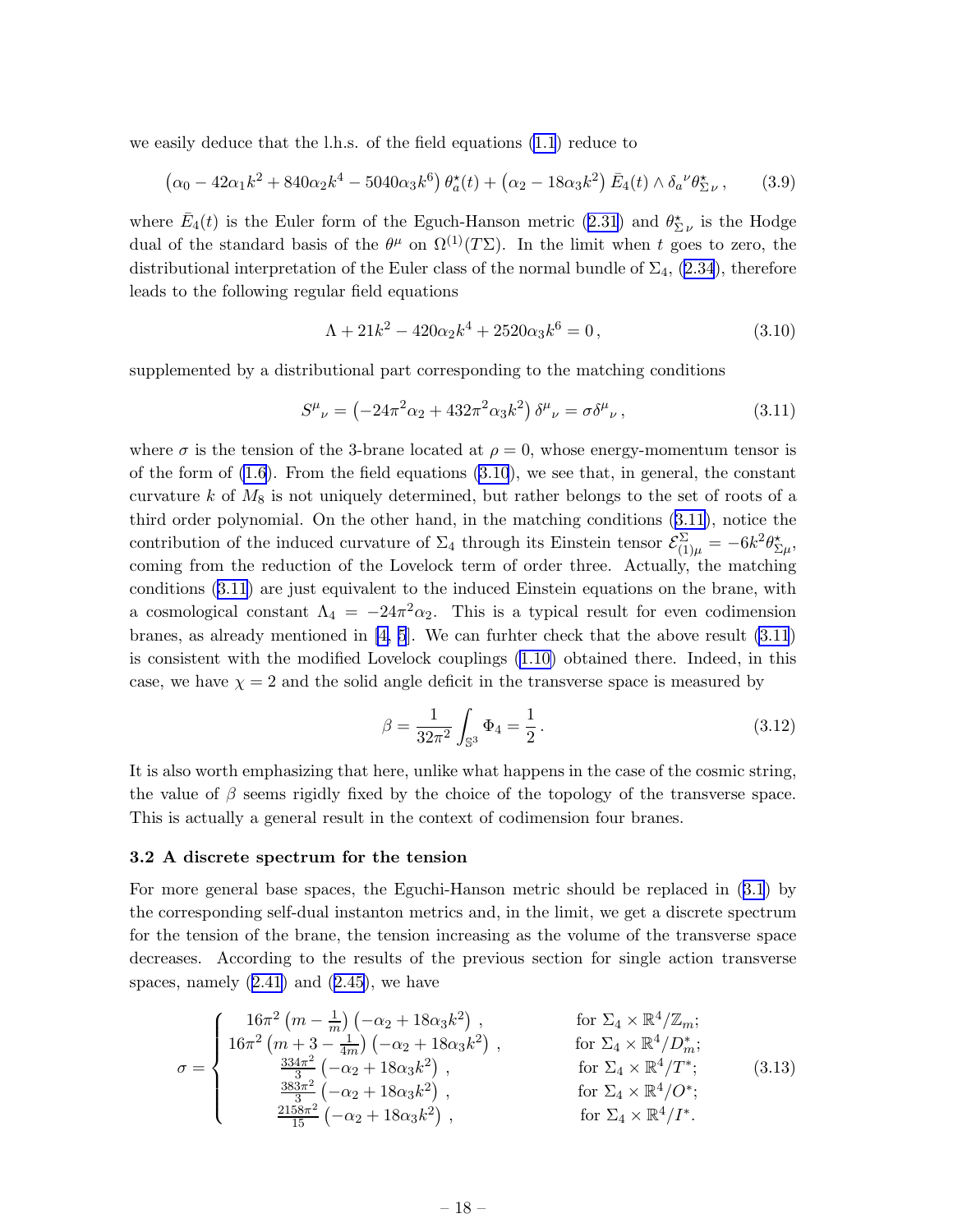<span id="page-18-0"></span>we easily deduce that the l.h.s. of the field equations [\(1.1](#page-2-0)) reduce to

$$
(\alpha_0 - 42\alpha_1 k^2 + 840\alpha_2 k^4 - 5040\alpha_3 k^6) \theta_a^*(t) + (\alpha_2 - 18\alpha_3 k^2) \bar{E}_4(t) \wedge \delta_a{}^{\nu} \theta_{\Sigma\nu}^*,
$$
 (3.9)

where  $\bar{E}_4(t)$  is the Euler form of the Eguch-Hanson metric [\(2.31](#page-10-0)) and  $\theta_{\Sigma}^{\star}{}_{\nu}$  is the Hodge dual of the standard basis of the  $\theta^{\mu}$  on  $\Omega^{(1)}(T\Sigma)$ . In the limit when t goes to zero, the distributionalinterpretation of the Euler class of the normal bundle of  $\Sigma_4$ , ([2.34](#page-10-0)), therefore leads to the following regular field equations

$$
\Lambda + 21k^2 - 420\alpha_2 k^4 + 2520\alpha_3 k^6 = 0, \qquad (3.10)
$$

supplemented by a distributional part corresponding to the matching conditions

$$
S^{\mu}{}_{\nu} = \left(-24\pi^2\alpha_2 + 432\pi^2\alpha_3 k^2\right)\delta^{\mu}{}_{\nu} = \sigma\delta^{\mu}{}_{\nu}\,,\tag{3.11}
$$

where  $\sigma$  is the tension of the 3-brane located at  $\rho = 0$ , whose energy-momentum tensor is of the form of  $(1.6)$ . From the field equations  $(3.10)$ , we see that, in general, the constant curvature k of  $M_8$  is not uniquely determined, but rather belongs to the set of roots of a third order polynomial. On the other hand, in the matching conditions (3.11), notice the contribution of the induced curvature of  $\Sigma_4$  through its Einstein tensor  $\mathcal{E}^{\Sigma}_{(1)\mu} = -6k^2\theta^{\star}_{\Sigma\mu}$ , coming from the reduction of the Lovelock term of order three. Actually, the matching conditions (3.11) are just equivalent to the induced Einstein equations on the brane, with a cosmological constant  $\Lambda_4 = -24\pi^2\alpha_2$ . This is a typical result for even codimension branes, as already mentioned in [\[4, 5](#page-20-0)]. We can furhter check that the above result (3.11) is consistent with the modified Lovelock couplings [\(1.10\)](#page-4-0) obtained there. Indeed, in this case, we have  $\chi = 2$  and the solid angle deficit in the transverse space is measured by

$$
\beta = \frac{1}{32\pi^2} \int_{\mathbb{S}^3} \Phi_4 = \frac{1}{2} \,. \tag{3.12}
$$

It is also worth emphasizing that here, unlike what happens in the case of the cosmic string, the value of  $\beta$  seems rigidly fixed by the choice of the topology of the transverse space. This is actually a general result in the context of codimension four branes.

#### 3.2 A discrete spectrum for the tension

For more general base spaces, the Eguchi-Hanson metric should be replaced in([3.1](#page-17-0)) by the corresponding self-dual instanton metrics and, in the limit, we get a discrete spectrum for the tension of the brane, the tension increasing as the volume of the transverse space decreases. According to the results of the previous section for single action transverse spaces,namely  $(2.41)$  $(2.41)$  $(2.41)$  and  $(2.45)$  $(2.45)$ , we have

$$
\sigma = \begin{cases}\n16\pi^2 \left( m - \frac{1}{m} \right) \left( -\alpha_2 + 18\alpha_3 k^2 \right), & \text{for } \Sigma_4 \times \mathbb{R}^4 / \mathbb{Z}_m; \\
16\pi^2 \left( m + 3 - \frac{1}{4m} \right) \left( -\alpha_2 + 18\alpha_3 k^2 \right), & \text{for } \Sigma_4 \times \mathbb{R}^4 / D_m^*; \\
\frac{334\pi^2}{3} \left( -\alpha_2 + 18\alpha_3 k^2 \right), & \text{for } \Sigma_4 \times \mathbb{R}^4 / T^*; \\
\frac{383\pi^2}{3} \left( -\alpha_2 + 18\alpha_3 k^2 \right), & \text{for } \Sigma_4 \times \mathbb{R}^4 / O^*; \\
\frac{2158\pi^2}{15} \left( -\alpha_2 + 18\alpha_3 k^2 \right), & \text{for } \Sigma_4 \times \mathbb{R}^4 / I^*. \n\end{cases} (3.13)
$$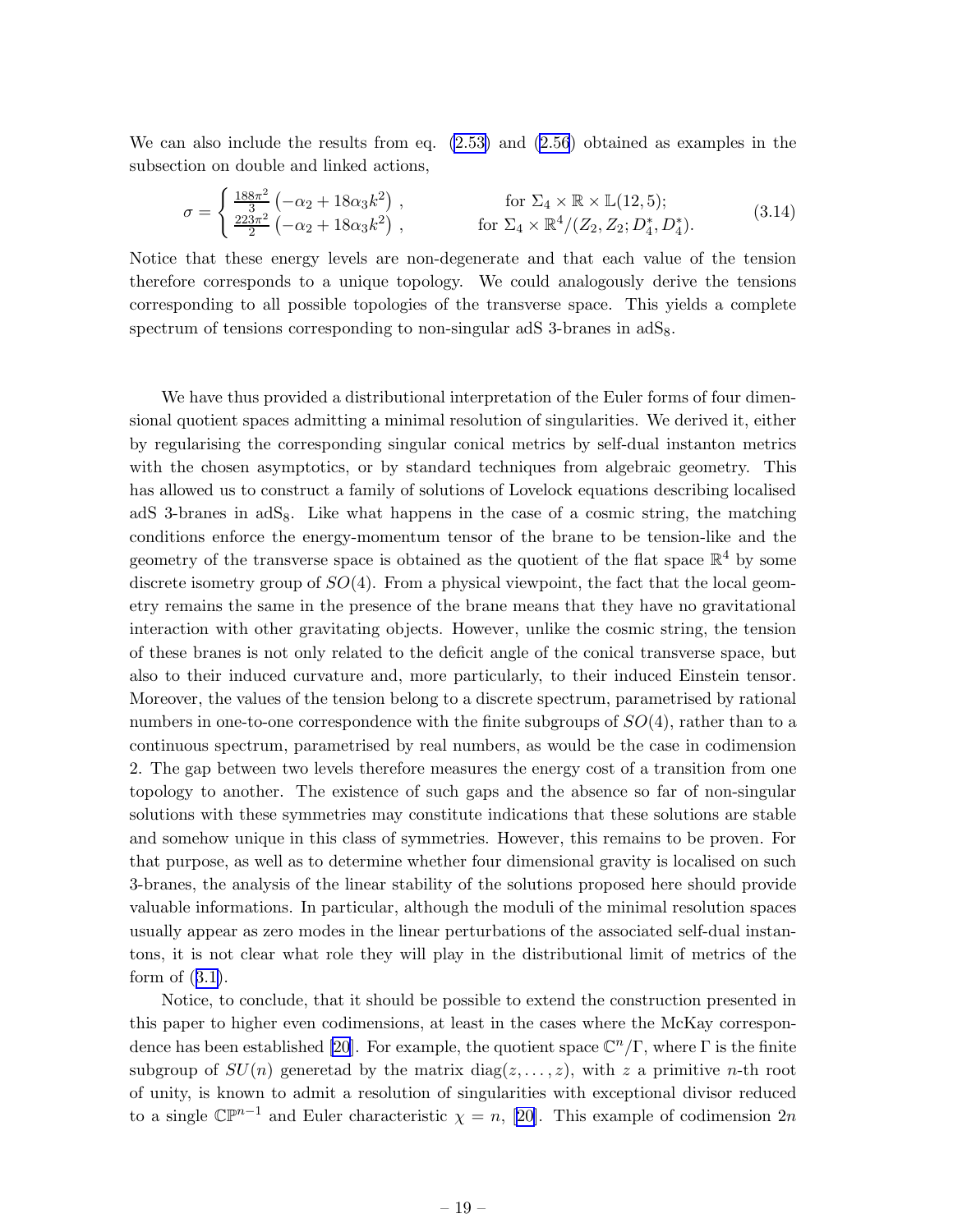We can also include the results from eq. [\(2.53\)](#page-15-0) and [\(2.56](#page-16-0)) obtained as examples in the subsection on double and linked actions,

$$
\sigma = \begin{cases} \frac{188\pi^2}{3} \left( -\alpha_2 + 18\alpha_3 k^2 \right) , & \text{for } \Sigma_4 \times \mathbb{R} \times \mathbb{L}(12, 5); \\ \frac{223\pi^2}{2} \left( -\alpha_2 + 18\alpha_3 k^2 \right) , & \text{for } \Sigma_4 \times \mathbb{R}^4 / (Z_2, Z_2; D_4^*, D_4^*). \end{cases} (3.14)
$$

Notice that these energy levels are non-degenerate and that each value of the tension therefore corresponds to a unique topology. We could analogously derive the tensions corresponding to all possible topologies of the transverse space. This yields a complete spectrum of tensions corresponding to non-singular adS 3-branes in adS<sub>8</sub>.

We have thus provided a distributional interpretation of the Euler forms of four dimensional quotient spaces admitting a minimal resolution of singularities. We derived it, either by regularising the corresponding singular conical metrics by self-dual instanton metrics with the chosen asymptotics, or by standard techniques from algebraic geometry. This has allowed us to construct a family of solutions of Lovelock equations describing localised adS 3-branes in  $adS_8$ . Like what happens in the case of a cosmic string, the matching conditions enforce the energy-momentum tensor of the brane to be tension-like and the geometry of the transverse space is obtained as the quotient of the flat space  $\mathbb{R}^4$  by some discrete isometry group of  $SO(4)$ . From a physical viewpoint, the fact that the local geometry remains the same in the presence of the brane means that they have no gravitational interaction with other gravitating objects. However, unlike the cosmic string, the tension of these branes is not only related to the deficit angle of the conical transverse space, but also to their induced curvature and, more particularly, to their induced Einstein tensor. Moreover, the values of the tension belong to a discrete spectrum, parametrised by rational numbers in one-to-one correspondence with the finite subgroups of  $SO(4)$ , rather than to a continuous spectrum, parametrised by real numbers, as would be the case in codimension 2. The gap between two levels therefore measures the energy cost of a transition from one topology to another. The existence of such gaps and the absence so far of non-singular solutions with these symmetries may constitute indications that these solutions are stable and somehow unique in this class of symmetries. However, this remains to be proven. For that purpose, as well as to determine whether four dimensional gravity is localised on such 3-branes, the analysis of the linear stability of the solutions proposed here should provide valuable informations. In particular, although the moduli of the minimal resolution spaces usually appear as zero modes in the linear perturbations of the associated self-dual instantons, it is not clear what role they will play in the distributional limit of metrics of the form of([3.1\)](#page-17-0).

Notice, to conclude, that it should be possible to extend the construction presented in this paper to higher even codimensions, at least in the cases where the McKay correspon-dence has been established [\[20](#page-21-0)]. For example, the quotient space  $\mathbb{C}^n/\Gamma$ , where  $\Gamma$  is the finite subgroup of  $SU(n)$  generetad by the matrix diag( $z, \ldots, z$ ), with z a primitive n-th root of unity, is known to admit a resolution of singularities with exceptional divisor reduced to a single  $\mathbb{CP}^{n-1}$  and Euler characteristic  $\chi = n$ , [\[20](#page-21-0)]. This example of codimension 2n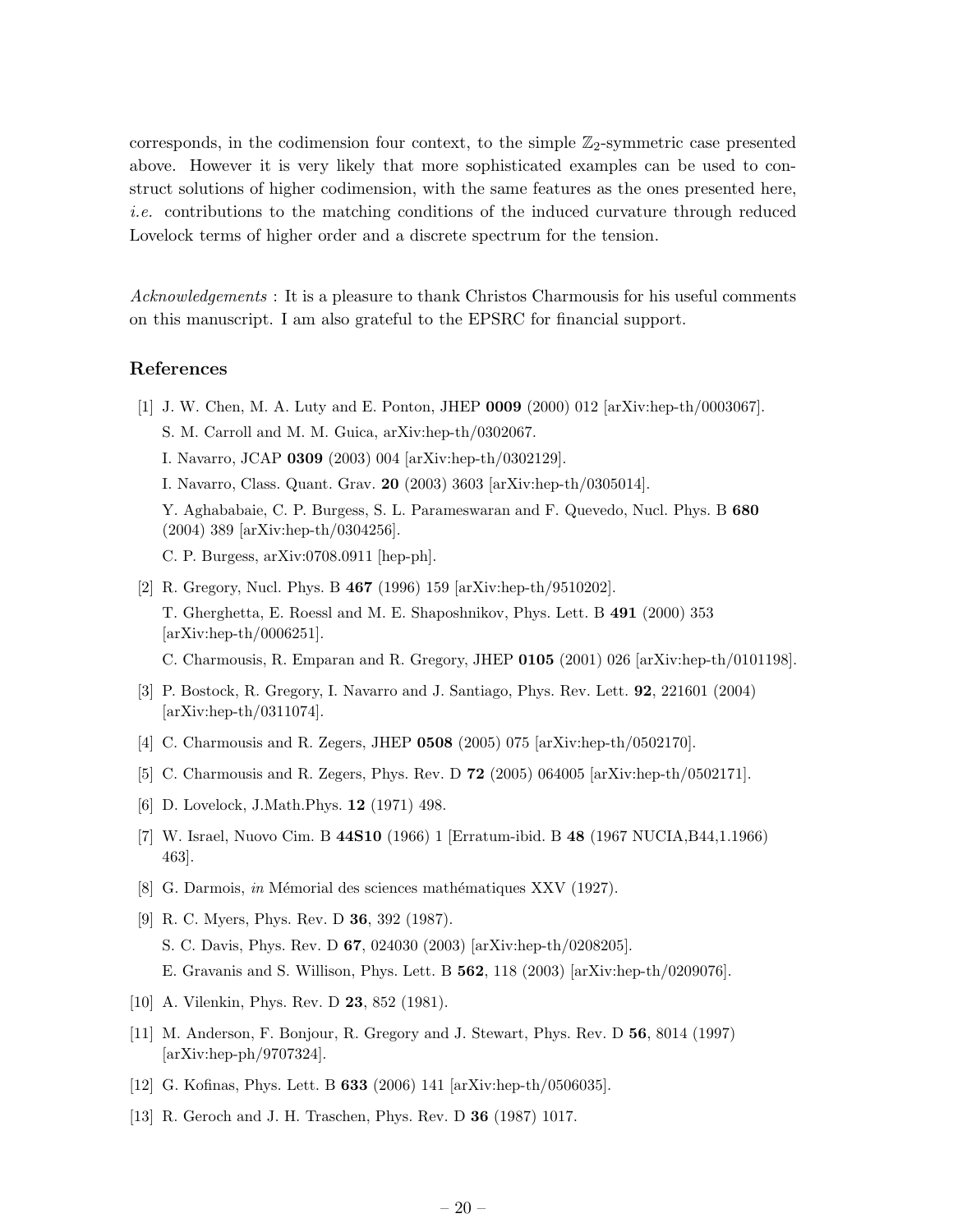<span id="page-20-0"></span>corresponds, in the codimension four context, to the simple  $\mathbb{Z}_2$ -symmetric case presented above. However it is very likely that more sophisticated examples can be used to construct solutions of higher codimension, with the same features as the ones presented here, i.e. contributions to the matching conditions of the induced curvature through reduced Lovelock terms of higher order and a discrete spectrum for the tension.

Acknowledgements : It is a pleasure to thank Christos Charmousis for his useful comments on this manuscript. I am also grateful to the EPSRC for financial support.

# References

- [1] J. W. Chen, M. A. Luty and E. Ponton, JHEP 0009 (2000) 012 [arXiv:hep-th/0003067]. S. M. Carroll and M. M. Guica, arXiv:hep-th/0302067. I. Navarro, JCAP 0309 (2003) 004 [arXiv:hep-th/0302129]. I. Navarro, Class. Quant. Grav. 20 (2003) 3603 [arXiv:hep-th/0305014]. Y. Aghababaie, C. P. Burgess, S. L. Parameswaran and F. Quevedo, Nucl. Phys. B 680 (2004) 389 [arXiv:hep-th/0304256]. C. P. Burgess, arXiv:0708.0911 [hep-ph].
- [2] R. Gregory, Nucl. Phys. B 467 (1996) 159 [arXiv:hep-th/9510202]. T. Gherghetta, E. Roessl and M. E. Shaposhnikov, Phys. Lett. B 491 (2000) 353 [arXiv:hep-th/0006251]. C. Charmousis, R. Emparan and R. Gregory, JHEP 0105 (2001) 026 [arXiv:hep-th/0101198].
- [3] P. Bostock, R. Gregory, I. Navarro and J. Santiago, Phys. Rev. Lett. 92, 221601 (2004) [arXiv:hep-th/0311074].
- [4] C. Charmousis and R. Zegers, JHEP 0508 (2005) 075 [arXiv:hep-th/0502170].
- [5] C. Charmousis and R. Zegers, Phys. Rev. D 72 (2005) 064005 [arXiv:hep-th/0502171].
- [6] D. Lovelock, J.Math.Phys. 12 (1971) 498.
- [7] W. Israel, Nuovo Cim. B 44S10 (1966) 1 [Erratum-ibid. B 48 (1967 NUCIA,B44,1.1966) 463].
- [8] G. Darmois, in Mémorial des sciences mathématiques XXV (1927).
- [9] R. C. Myers, Phys. Rev. D 36, 392 (1987). S. C. Davis, Phys. Rev. D 67, 024030 (2003) [arXiv:hep-th/0208205]. E. Gravanis and S. Willison, Phys. Lett. B 562, 118 (2003) [arXiv:hep-th/0209076].
- [10] A. Vilenkin, Phys. Rev. D 23, 852 (1981).
- [11] M. Anderson, F. Bonjour, R. Gregory and J. Stewart, Phys. Rev. D 56, 8014 (1997) [arXiv:hep-ph/9707324].
- [12] G. Kofinas, Phys. Lett. B 633 (2006) 141 [arXiv:hep-th/0506035].
- [13] R. Geroch and J. H. Traschen, Phys. Rev. D 36 (1987) 1017.